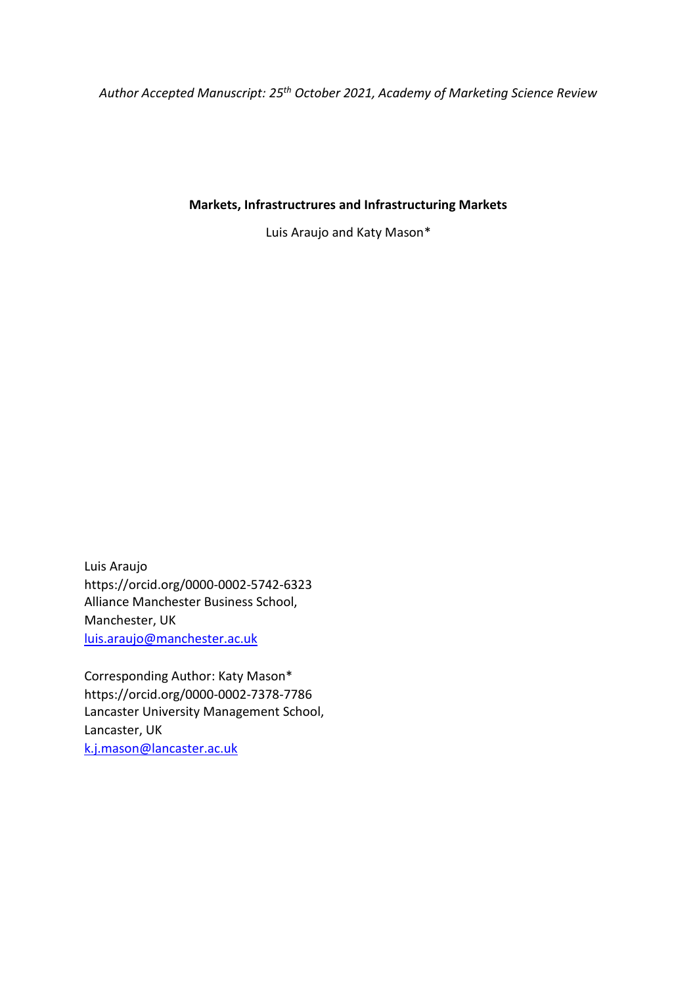*Author Accepted Manuscript: 25th October 2021, Academy of Marketing Science Review*

# **Markets, Infrastructrures and Infrastructuring Markets**

Luis Araujo and Katy Mason\*

Luis Araujo https://orcid.org/0000-0002-5742-6323 Alliance Manchester Business School, Manchester, UK [luis.araujo@manchester.ac.uk](mailto:luis.araujo@manchester.ac.uk)

Corresponding Author: Katy Mason\* https://orcid.org/0000-0002-7378-7786 Lancaster University Management School, Lancaster, UK [k.j.mason@lancaster.ac.uk](mailto:k.j.mason@lancaster.ac.uk)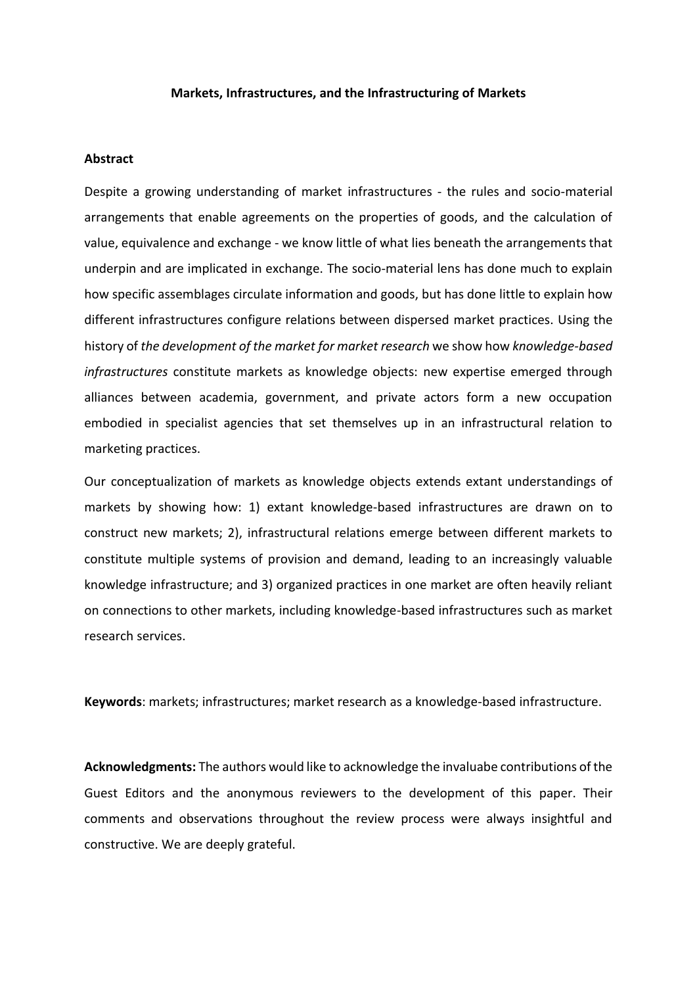### **Markets, Infrastructures, and the Infrastructuring of Markets**

#### **Abstract**

Despite a growing understanding of market infrastructures - the rules and socio-material arrangements that enable agreements on the properties of goods, and the calculation of value, equivalence and exchange - we know little of what lies beneath the arrangements that underpin and are implicated in exchange. The socio-material lens has done much to explain how specific assemblages circulate information and goods, but has done little to explain how different infrastructures configure relations between dispersed market practices. Using the history of *the development of the market for market research* we show how *knowledge-based infrastructures* constitute markets as knowledge objects: new expertise emerged through alliances between academia, government, and private actors form a new occupation embodied in specialist agencies that set themselves up in an infrastructural relation to marketing practices.

Our conceptualization of markets as knowledge objects extends extant understandings of markets by showing how: 1) extant knowledge-based infrastructures are drawn on to construct new markets; 2), infrastructural relations emerge between different markets to constitute multiple systems of provision and demand, leading to an increasingly valuable knowledge infrastructure; and 3) organized practices in one market are often heavily reliant on connections to other markets, including knowledge-based infrastructures such as market research services.

**Keywords**: markets; infrastructures; market research as a knowledge-based infrastructure.

**Acknowledgments:** The authors would like to acknowledge the invaluabe contributions of the Guest Editors and the anonymous reviewers to the development of this paper. Their comments and observations throughout the review process were always insightful and constructive. We are deeply grateful.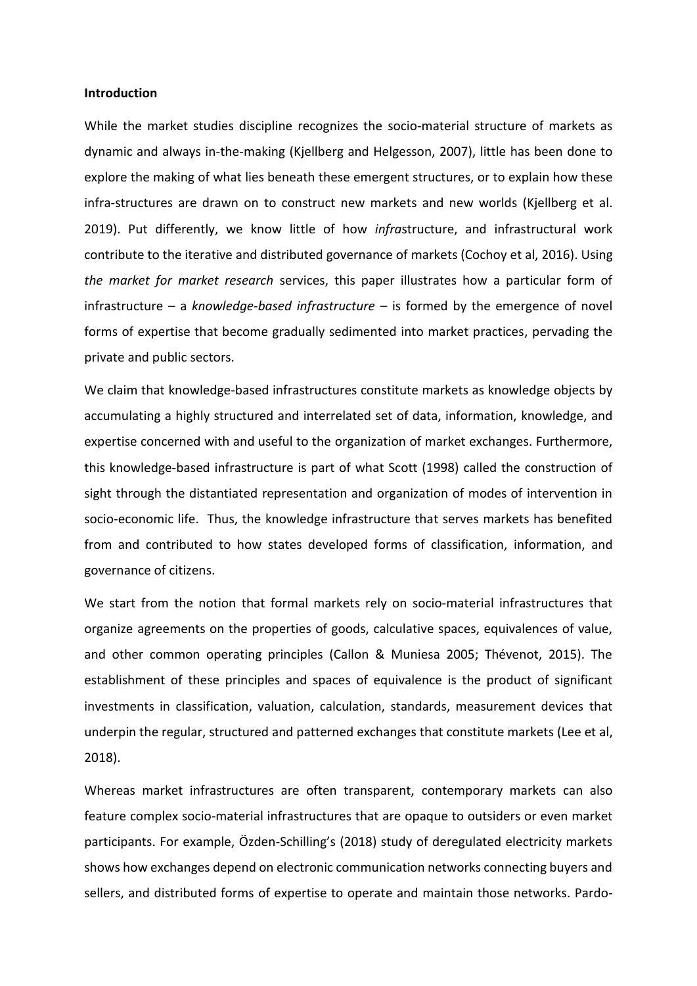### **Introduction**

While the market studies discipline recognizes the socio-material structure of markets as dynamic and always in-the-making (Kjellberg and Helgesson, 2007), little has been done to explore the making of what lies beneath these emergent structures, or to explain how these infra-structures are drawn on to construct new markets and new worlds (Kjellberg et al. 2019). Put differently, we know little of how *infra*structure, and infrastructural work contribute to the iterative and distributed governance of markets (Cochoy et al, 2016). Using *the market for market research* services, this paper illustrates how a particular form of infrastructure – a *knowledge-based infrastructure* – is formed by the emergence of novel forms of expertise that become gradually sedimented into market practices, pervading the private and public sectors.

We claim that knowledge-based infrastructures constitute markets as knowledge objects by accumulating a highly structured and interrelated set of data, information, knowledge, and expertise concerned with and useful to the organization of market exchanges. Furthermore, this knowledge-based infrastructure is part of what Scott (1998) called the construction of sight through the distantiated representation and organization of modes of intervention in socio-economic life. Thus, the knowledge infrastructure that serves markets has benefited from and contributed to how states developed forms of classification, information, and governance of citizens.

We start from the notion that formal markets rely on socio-material infrastructures that organize agreements on the properties of goods, calculative spaces, equivalences of value, and other common operating principles (Callon & Muniesa 2005; Thévenot, 2015). The establishment of these principles and spaces of equivalence is the product of significant investments in classification, valuation, calculation, standards, measurement devices that underpin the regular, structured and patterned exchanges that constitute markets (Lee et al, 2018).

Whereas market infrastructures are often transparent, contemporary markets can also feature complex socio-material infrastructures that are opaque to outsiders or even market participants. For example, Özden-Schilling's (2018) study of deregulated electricity markets shows how exchanges depend on electronic communication networks connecting buyers and sellers, and distributed forms of expertise to operate and maintain those networks. Pardo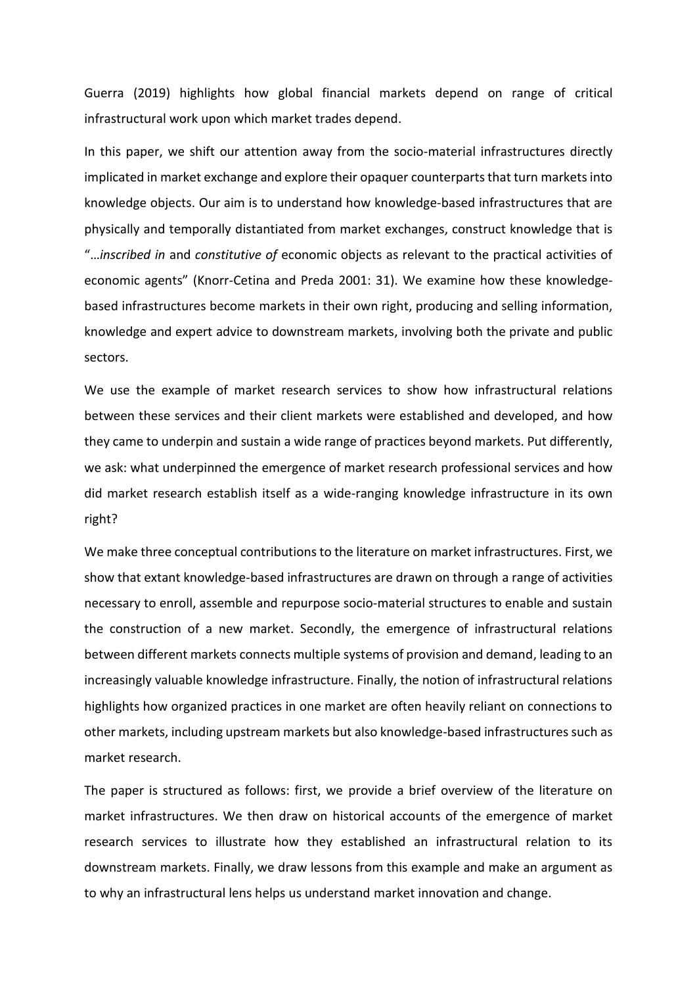Guerra (2019) highlights how global financial markets depend on range of critical infrastructural work upon which market trades depend.

In this paper, we shift our attention away from the socio-material infrastructures directly implicated in market exchange and explore their opaquer counterpartsthat turn markets into knowledge objects. Our aim is to understand how knowledge-based infrastructures that are physically and temporally distantiated from market exchanges, construct knowledge that is "…*inscribed in* and *constitutive of* economic objects as relevant to the practical activities of economic agents" (Knorr-Cetina and Preda 2001: 31). We examine how these knowledgebased infrastructures become markets in their own right, producing and selling information, knowledge and expert advice to downstream markets, involving both the private and public sectors.

We use the example of market research services to show how infrastructural relations between these services and their client markets were established and developed, and how they came to underpin and sustain a wide range of practices beyond markets. Put differently, we ask: what underpinned the emergence of market research professional services and how did market research establish itself as a wide-ranging knowledge infrastructure in its own right?

We make three conceptual contributions to the literature on market infrastructures. First, we show that extant knowledge-based infrastructures are drawn on through a range of activities necessary to enroll, assemble and repurpose socio-material structures to enable and sustain the construction of a new market. Secondly, the emergence of infrastructural relations between different markets connects multiple systems of provision and demand, leading to an increasingly valuable knowledge infrastructure. Finally, the notion of infrastructural relations highlights how organized practices in one market are often heavily reliant on connections to other markets, including upstream markets but also knowledge-based infrastructures such as market research.

The paper is structured as follows: first, we provide a brief overview of the literature on market infrastructures. We then draw on historical accounts of the emergence of market research services to illustrate how they established an infrastructural relation to its downstream markets. Finally, we draw lessons from this example and make an argument as to why an infrastructural lens helps us understand market innovation and change.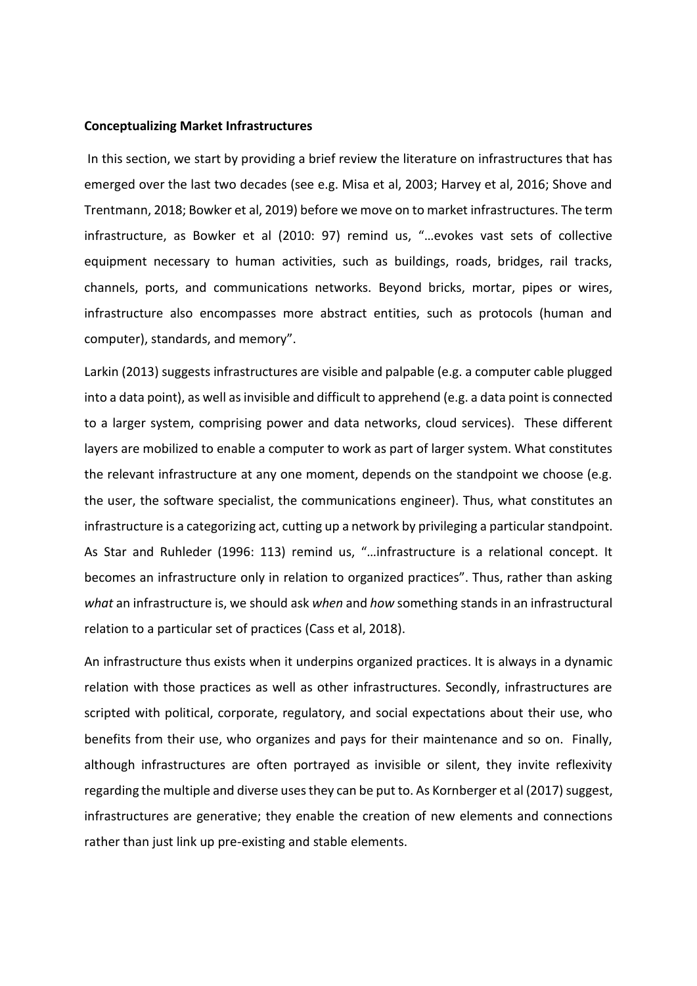### **Conceptualizing Market Infrastructures**

In this section, we start by providing a brief review the literature on infrastructures that has emerged over the last two decades (see e.g. Misa et al, 2003; Harvey et al, 2016; Shove and Trentmann, 2018; Bowker et al, 2019) before we move on to market infrastructures. The term infrastructure, as Bowker et al (2010: 97) remind us, "…evokes vast sets of collective equipment necessary to human activities, such as buildings, roads, bridges, rail tracks, channels, ports, and communications networks. Beyond bricks, mortar, pipes or wires, infrastructure also encompasses more abstract entities, such as protocols (human and computer), standards, and memory".

Larkin (2013) suggests infrastructures are visible and palpable (e.g. a computer cable plugged into a data point), as well as invisible and difficult to apprehend (e.g. a data point is connected to a larger system, comprising power and data networks, cloud services). These different layers are mobilized to enable a computer to work as part of larger system. What constitutes the relevant infrastructure at any one moment, depends on the standpoint we choose (e.g. the user, the software specialist, the communications engineer). Thus, what constitutes an infrastructure is a categorizing act, cutting up a network by privileging a particular standpoint. As Star and Ruhleder (1996: 113) remind us, "…infrastructure is a relational concept. It becomes an infrastructure only in relation to organized practices". Thus, rather than asking *what* an infrastructure is, we should ask *when* and *how* something stands in an infrastructural relation to a particular set of practices (Cass et al, 2018).

An infrastructure thus exists when it underpins organized practices. It is always in a dynamic relation with those practices as well as other infrastructures. Secondly, infrastructures are scripted with political, corporate, regulatory, and social expectations about their use, who benefits from their use, who organizes and pays for their maintenance and so on. Finally, although infrastructures are often portrayed as invisible or silent, they invite reflexivity regarding the multiple and diverse uses they can be put to. As Kornberger et al (2017) suggest, infrastructures are generative; they enable the creation of new elements and connections rather than just link up pre-existing and stable elements.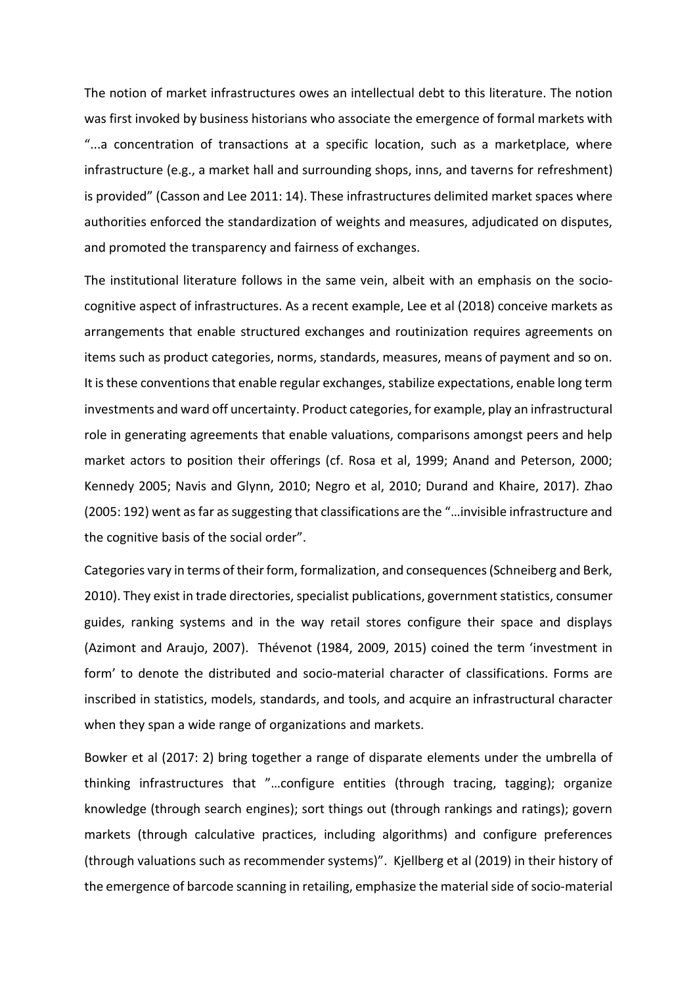The notion of market infrastructures owes an intellectual debt to this literature. The notion was first invoked by business historians who associate the emergence of formal markets with "...a concentration of transactions at a specific location, such as a marketplace, where infrastructure (e.g., a market hall and surrounding shops, inns, and taverns for refreshment) is provided" (Casson and Lee 2011: 14). These infrastructures delimited market spaces where authorities enforced the standardization of weights and measures, adjudicated on disputes, and promoted the transparency and fairness of exchanges.

The institutional literature follows in the same vein, albeit with an emphasis on the sociocognitive aspect of infrastructures. As a recent example, Lee et al (2018) conceive markets as arrangements that enable structured exchanges and routinization requires agreements on items such as product categories, norms, standards, measures, means of payment and so on. It is these conventions that enable regular exchanges, stabilize expectations, enable long term investments and ward off uncertainty. Product categories, for example, play an infrastructural role in generating agreements that enable valuations, comparisons amongst peers and help market actors to position their offerings (cf. Rosa et al, 1999; Anand and Peterson, 2000; Kennedy 2005; Navis and Glynn, 2010; Negro et al, 2010; Durand and Khaire, 2017). Zhao (2005: 192) went as far as suggesting that classifications are the "…invisible infrastructure and the cognitive basis of the social order".

Categories vary in terms of their form, formalization, and consequences (Schneiberg and Berk, 2010). They exist in trade directories, specialist publications, government statistics, consumer guides, ranking systems and in the way retail stores configure their space and displays (Azimont and Araujo, 2007). Thévenot (1984, 2009, 2015) coined the term 'investment in form' to denote the distributed and socio-material character of classifications. Forms are inscribed in statistics, models, standards, and tools, and acquire an infrastructural character when they span a wide range of organizations and markets.

Bowker et al (2017: 2) bring together a range of disparate elements under the umbrella of thinking infrastructures that "…configure entities (through tracing, tagging); organize knowledge (through search engines); sort things out (through rankings and ratings); govern markets (through calculative practices, including algorithms) and configure preferences (through valuations such as recommender systems)". Kjellberg et al (2019) in their history of the emergence of barcode scanning in retailing, emphasize the material side of socio-material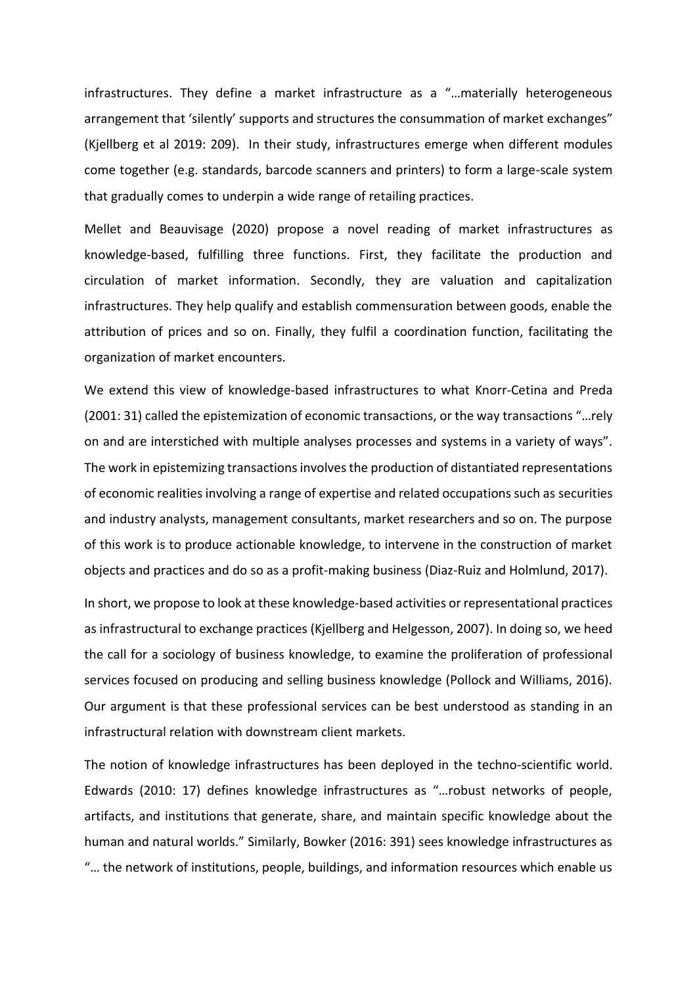infrastructures. They define a market infrastructure as a "…materially heterogeneous arrangement that 'silently' supports and structures the consummation of market exchanges" (Kjellberg et al 2019: 209). In their study, infrastructures emerge when different modules come together (e.g. standards, barcode scanners and printers) to form a large-scale system that gradually comes to underpin a wide range of retailing practices.

Mellet and Beauvisage (2020) propose a novel reading of market infrastructures as knowledge-based, fulfilling three functions. First, they facilitate the production and circulation of market information. Secondly, they are valuation and capitalization infrastructures. They help qualify and establish commensuration between goods, enable the attribution of prices and so on. Finally, they fulfil a coordination function, facilitating the organization of market encounters.

We extend this view of knowledge-based infrastructures to what Knorr-Cetina and Preda (2001: 31) called the epistemization of economic transactions, or the way transactions "…rely on and are interstiched with multiple analyses processes and systems in a variety of ways". The work in epistemizing transactions involves the production of distantiated representations of economic realities involving a range of expertise and related occupations such as securities and industry analysts, management consultants, market researchers and so on. The purpose of this work is to produce actionable knowledge, to intervene in the construction of market objects and practices and do so as a profit-making business (Diaz-Ruiz and Holmlund, 2017).

In short, we propose to look at these knowledge-based activities or representational practices as infrastructural to exchange practices (Kjellberg and Helgesson, 2007). In doing so, we heed the call for a sociology of business knowledge, to examine the proliferation of professional services focused on producing and selling business knowledge (Pollock and Williams, 2016). Our argument is that these professional services can be best understood as standing in an infrastructural relation with downstream client markets.

The notion of knowledge infrastructures has been deployed in the techno-scientific world. Edwards (2010: 17) defines knowledge infrastructures as "…robust networks of people, artifacts, and institutions that generate, share, and maintain specific knowledge about the human and natural worlds." Similarly, Bowker (2016: 391) sees knowledge infrastructures as "… the network of institutions, people, buildings, and information resources which enable us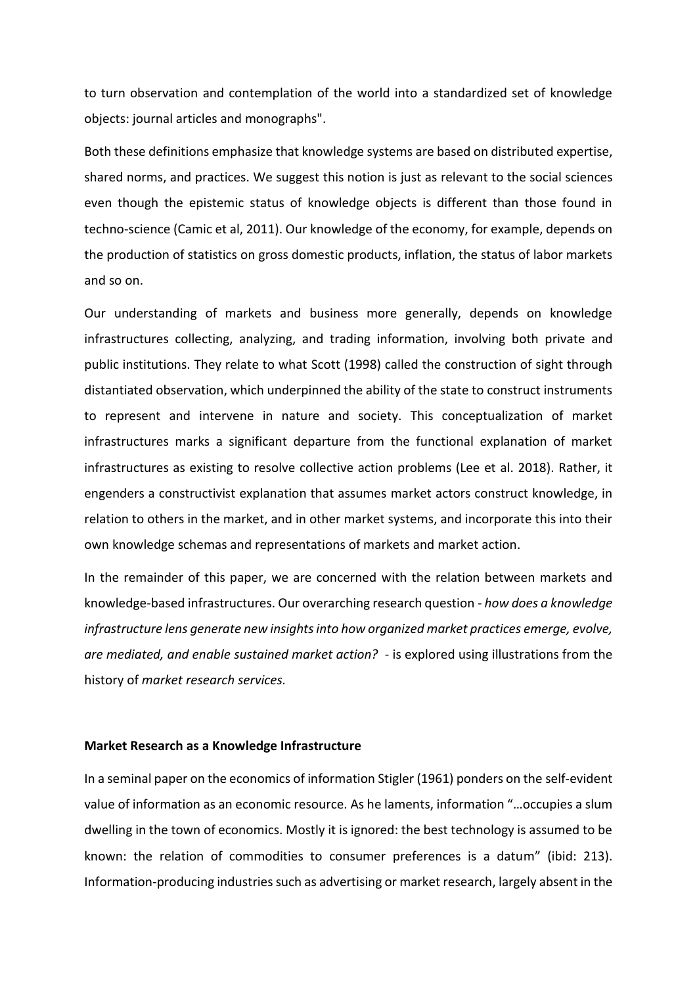to turn observation and contemplation of the world into a standardized set of knowledge objects: journal articles and monographs".

Both these definitions emphasize that knowledge systems are based on distributed expertise, shared norms, and practices. We suggest this notion is just as relevant to the social sciences even though the epistemic status of knowledge objects is different than those found in techno-science (Camic et al, 2011). Our knowledge of the economy, for example, depends on the production of statistics on gross domestic products, inflation, the status of labor markets and so on.

Our understanding of markets and business more generally, depends on knowledge infrastructures collecting, analyzing, and trading information, involving both private and public institutions. They relate to what Scott (1998) called the construction of sight through distantiated observation, which underpinned the ability of the state to construct instruments to represent and intervene in nature and society. This conceptualization of market infrastructures marks a significant departure from the functional explanation of market infrastructures as existing to resolve collective action problems (Lee et al. 2018). Rather, it engenders a constructivist explanation that assumes market actors construct knowledge, in relation to others in the market, and in other market systems, and incorporate this into their own knowledge schemas and representations of markets and market action.

In the remainder of this paper, we are concerned with the relation between markets and knowledge-based infrastructures. Our overarching research question - *how does a knowledge infrastructure lens generate new insights into how organized market practices emerge, evolve, are mediated, and enable sustained market action?* - is explored using illustrations from the history of *market research services.*

## **Market Research as a Knowledge Infrastructure**

In a seminal paper on the economics of information Stigler (1961) ponders on the self-evident value of information as an economic resource. As he laments, information "…occupies a slum dwelling in the town of economics. Mostly it is ignored: the best technology is assumed to be known: the relation of commodities to consumer preferences is a datum" (ibid: 213). Information-producing industries such as advertising or market research, largely absent in the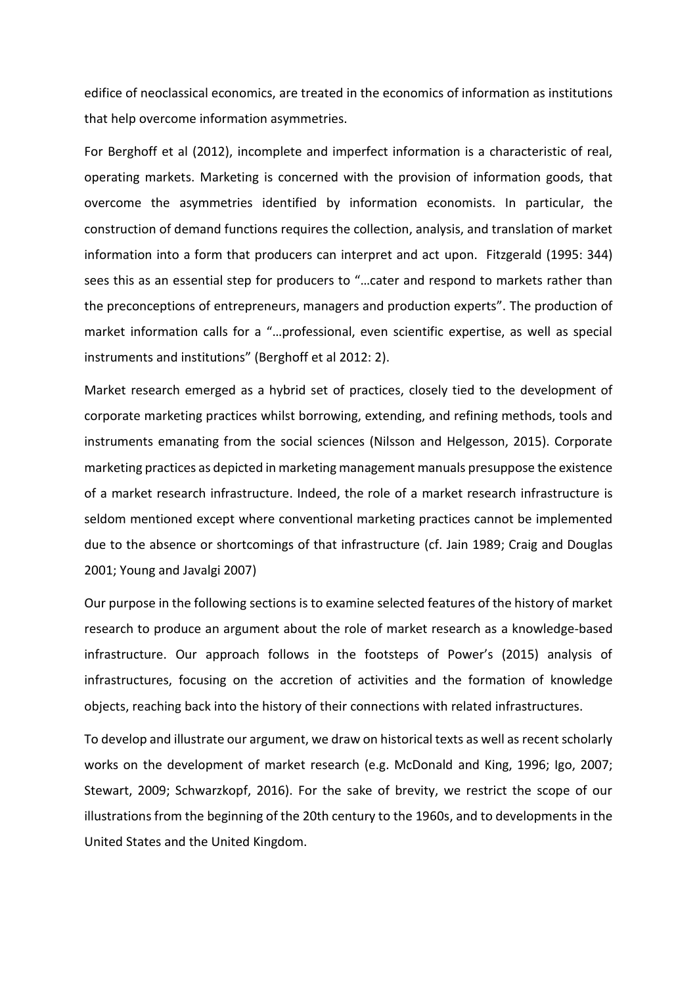edifice of neoclassical economics, are treated in the economics of information as institutions that help overcome information asymmetries.

For Berghoff et al (2012), incomplete and imperfect information is a characteristic of real, operating markets. Marketing is concerned with the provision of information goods, that overcome the asymmetries identified by information economists. In particular, the construction of demand functions requires the collection, analysis, and translation of market information into a form that producers can interpret and act upon. Fitzgerald (1995: 344) sees this as an essential step for producers to "…cater and respond to markets rather than the preconceptions of entrepreneurs, managers and production experts". The production of market information calls for a "…professional, even scientific expertise, as well as special instruments and institutions" (Berghoff et al 2012: 2).

Market research emerged as a hybrid set of practices, closely tied to the development of corporate marketing practices whilst borrowing, extending, and refining methods, tools and instruments emanating from the social sciences (Nilsson and Helgesson, 2015). Corporate marketing practices as depicted in marketing management manuals presuppose the existence of a market research infrastructure. Indeed, the role of a market research infrastructure is seldom mentioned except where conventional marketing practices cannot be implemented due to the absence or shortcomings of that infrastructure (cf. Jain 1989; Craig and Douglas 2001; Young and Javalgi 2007)

Our purpose in the following sections is to examine selected features of the history of market research to produce an argument about the role of market research as a knowledge-based infrastructure. Our approach follows in the footsteps of Power's (2015) analysis of infrastructures, focusing on the accretion of activities and the formation of knowledge objects, reaching back into the history of their connections with related infrastructures.

To develop and illustrate our argument, we draw on historical texts as well as recent scholarly works on the development of market research (e.g. McDonald and King, 1996; Igo, 2007; Stewart, 2009; Schwarzkopf, 2016). For the sake of brevity, we restrict the scope of our illustrations from the beginning of the 20th century to the 1960s, and to developments in the United States and the United Kingdom.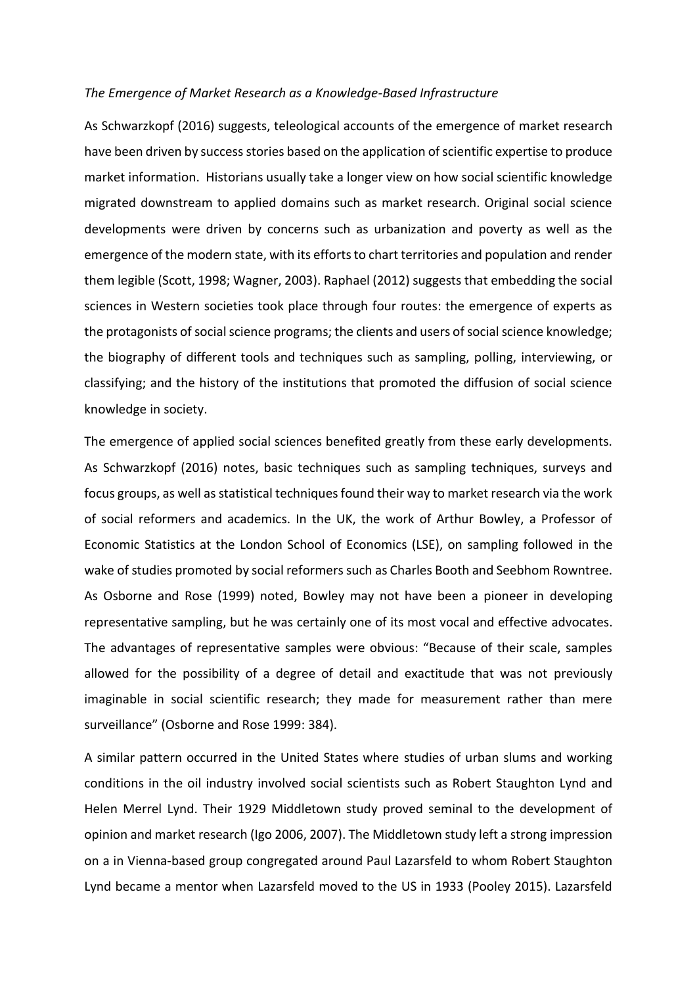### *The Emergence of Market Research as a Knowledge-Based Infrastructure*

As Schwarzkopf (2016) suggests, teleological accounts of the emergence of market research have been driven by success stories based on the application of scientific expertise to produce market information. Historians usually take a longer view on how social scientific knowledge migrated downstream to applied domains such as market research. Original social science developments were driven by concerns such as urbanization and poverty as well as the emergence of the modern state, with its efforts to chart territories and population and render them legible (Scott, 1998; Wagner, 2003). Raphael (2012) suggests that embedding the social sciences in Western societies took place through four routes: the emergence of experts as the protagonists of social science programs; the clients and users of social science knowledge; the biography of different tools and techniques such as sampling, polling, interviewing, or classifying; and the history of the institutions that promoted the diffusion of social science knowledge in society.

The emergence of applied social sciences benefited greatly from these early developments. As Schwarzkopf (2016) notes, basic techniques such as sampling techniques, surveys and focus groups, as well as statistical techniques found their way to market research via the work of social reformers and academics. In the UK, the work of Arthur Bowley, a Professor of Economic Statistics at the London School of Economics (LSE), on sampling followed in the wake of studies promoted by social reformers such as Charles Booth and Seebhom Rowntree. As Osborne and Rose (1999) noted, Bowley may not have been a pioneer in developing representative sampling, but he was certainly one of its most vocal and effective advocates. The advantages of representative samples were obvious: "Because of their scale, samples allowed for the possibility of a degree of detail and exactitude that was not previously imaginable in social scientific research; they made for measurement rather than mere surveillance" (Osborne and Rose 1999: 384).

A similar pattern occurred in the United States where studies of urban slums and working conditions in the oil industry involved social scientists such as Robert Staughton Lynd and Helen Merrel Lynd. Their 1929 Middletown study proved seminal to the development of opinion and market research (Igo 2006, 2007). The Middletown study left a strong impression on a in Vienna-based group congregated around Paul Lazarsfeld to whom Robert Staughton Lynd became a mentor when Lazarsfeld moved to the US in 1933 (Pooley 2015). Lazarsfeld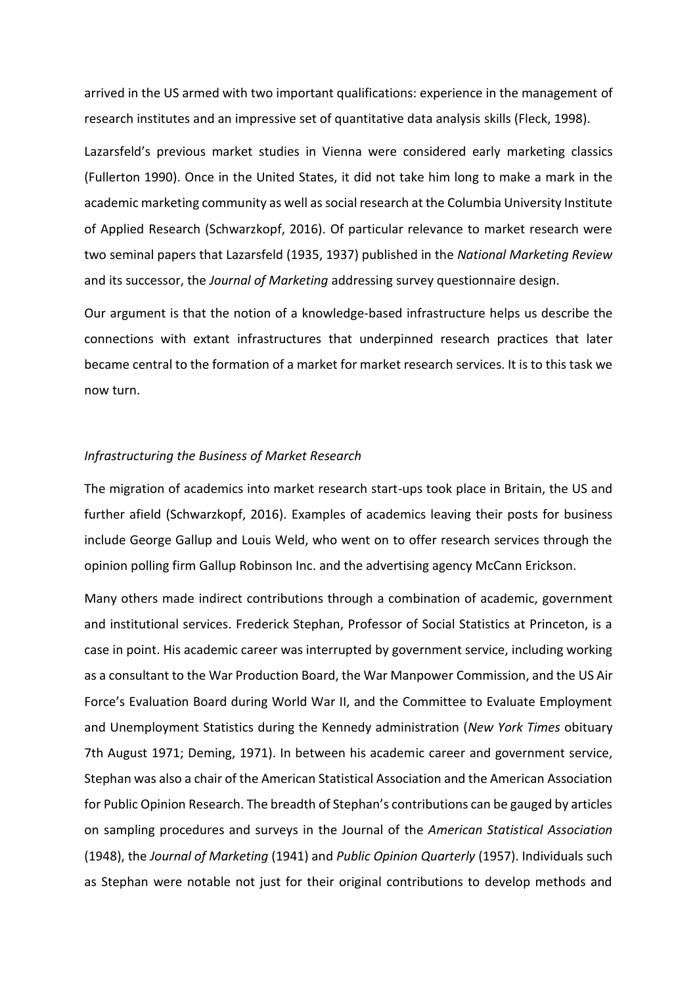arrived in the US armed with two important qualifications: experience in the management of research institutes and an impressive set of quantitative data analysis skills (Fleck, 1998).

Lazarsfeld's previous market studies in Vienna were considered early marketing classics (Fullerton 1990). Once in the United States, it did not take him long to make a mark in the academic marketing community as well as social research at the Columbia University Institute of Applied Research (Schwarzkopf, 2016). Of particular relevance to market research were two seminal papers that Lazarsfeld (1935, 1937) published in the *National Marketing Review* and its successor, the *Journal of Marketing* addressing survey questionnaire design.

Our argument is that the notion of a knowledge-based infrastructure helps us describe the connections with extant infrastructures that underpinned research practices that later became central to the formation of a market for market research services. It is to this task we now turn.

# *Infrastructuring the Business of Market Research*

The migration of academics into market research start-ups took place in Britain, the US and further afield (Schwarzkopf, 2016). Examples of academics leaving their posts for business include George Gallup and Louis Weld, who went on to offer research services through the opinion polling firm Gallup Robinson Inc. and the advertising agency McCann Erickson.

Many others made indirect contributions through a combination of academic, government and institutional services. Frederick Stephan, Professor of Social Statistics at Princeton, is a case in point. His academic career was interrupted by government service, including working as a consultant to the War Production Board, the War Manpower Commission, and the US Air Force's Evaluation Board during World War II, and the Committee to Evaluate Employment and Unemployment Statistics during the Kennedy administration (*New York Times* obituary 7th August 1971; Deming, 1971). In between his academic career and government service, Stephan was also a chair of the American Statistical Association and the American Association for Public Opinion Research. The breadth of Stephan's contributions can be gauged by articles on sampling procedures and surveys in the Journal of the *American Statistical Association* (1948), the *Journal of Marketing* (1941) and *Public Opinion Quarterly* (1957). Individuals such as Stephan were notable not just for their original contributions to develop methods and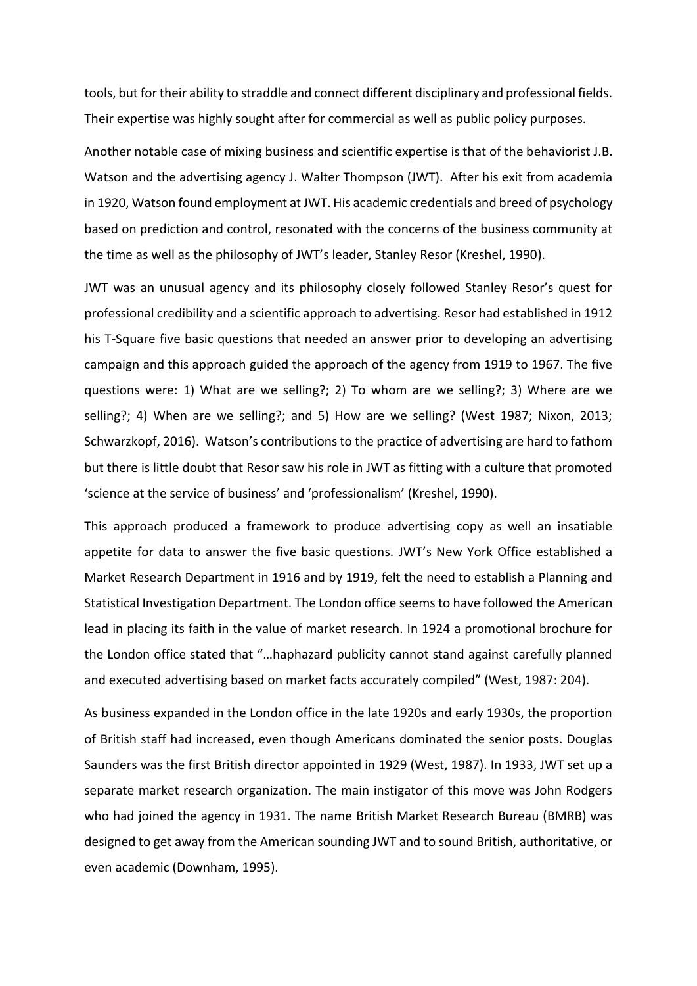tools, but for their ability to straddle and connect different disciplinary and professional fields. Their expertise was highly sought after for commercial as well as public policy purposes.

Another notable case of mixing business and scientific expertise is that of the behaviorist J.B. Watson and the advertising agency J. Walter Thompson (JWT). After his exit from academia in 1920, Watson found employment at JWT. His academic credentials and breed of psychology based on prediction and control, resonated with the concerns of the business community at the time as well as the philosophy of JWT's leader, Stanley Resor (Kreshel, 1990).

JWT was an unusual agency and its philosophy closely followed Stanley Resor's quest for professional credibility and a scientific approach to advertising. Resor had established in 1912 his T-Square five basic questions that needed an answer prior to developing an advertising campaign and this approach guided the approach of the agency from 1919 to 1967. The five questions were: 1) What are we selling?; 2) To whom are we selling?; 3) Where are we selling?; 4) When are we selling?; and 5) How are we selling? (West 1987; Nixon, 2013; Schwarzkopf, 2016). Watson's contributions to the practice of advertising are hard to fathom but there is little doubt that Resor saw his role in JWT as fitting with a culture that promoted 'science at the service of business' and 'professionalism' (Kreshel, 1990).

This approach produced a framework to produce advertising copy as well an insatiable appetite for data to answer the five basic questions. JWT's New York Office established a Market Research Department in 1916 and by 1919, felt the need to establish a Planning and Statistical Investigation Department. The London office seems to have followed the American lead in placing its faith in the value of market research. In 1924 a promotional brochure for the London office stated that "…haphazard publicity cannot stand against carefully planned and executed advertising based on market facts accurately compiled" (West, 1987: 204).

As business expanded in the London office in the late 1920s and early 1930s, the proportion of British staff had increased, even though Americans dominated the senior posts. Douglas Saunders was the first British director appointed in 1929 (West, 1987). In 1933, JWT set up a separate market research organization. The main instigator of this move was John Rodgers who had joined the agency in 1931. The name British Market Research Bureau (BMRB) was designed to get away from the American sounding JWT and to sound British, authoritative, or even academic (Downham, 1995).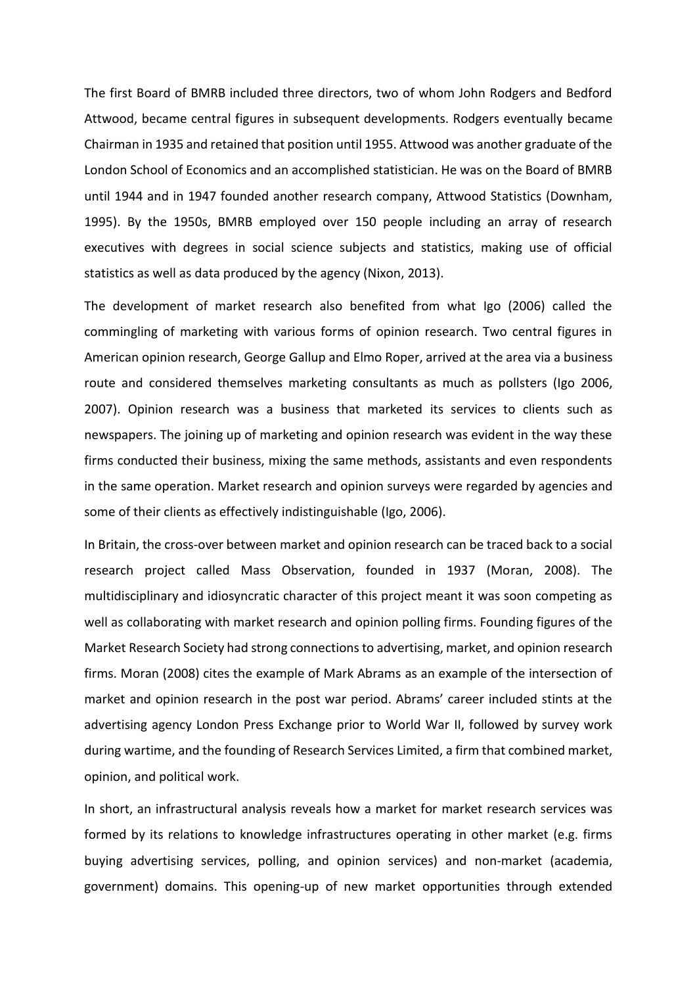The first Board of BMRB included three directors, two of whom John Rodgers and Bedford Attwood, became central figures in subsequent developments. Rodgers eventually became Chairman in 1935 and retained that position until 1955. Attwood was another graduate of the London School of Economics and an accomplished statistician. He was on the Board of BMRB until 1944 and in 1947 founded another research company, Attwood Statistics (Downham, 1995). By the 1950s, BMRB employed over 150 people including an array of research executives with degrees in social science subjects and statistics, making use of official statistics as well as data produced by the agency (Nixon, 2013).

The development of market research also benefited from what Igo (2006) called the commingling of marketing with various forms of opinion research. Two central figures in American opinion research, George Gallup and Elmo Roper, arrived at the area via a business route and considered themselves marketing consultants as much as pollsters (Igo 2006, 2007). Opinion research was a business that marketed its services to clients such as newspapers. The joining up of marketing and opinion research was evident in the way these firms conducted their business, mixing the same methods, assistants and even respondents in the same operation. Market research and opinion surveys were regarded by agencies and some of their clients as effectively indistinguishable (Igo, 2006).

In Britain, the cross-over between market and opinion research can be traced back to a social research project called Mass Observation, founded in 1937 (Moran, 2008). The multidisciplinary and idiosyncratic character of this project meant it was soon competing as well as collaborating with market research and opinion polling firms. Founding figures of the Market Research Society had strong connections to advertising, market, and opinion research firms. Moran (2008) cites the example of Mark Abrams as an example of the intersection of market and opinion research in the post war period. Abrams' career included stints at the advertising agency London Press Exchange prior to World War II, followed by survey work during wartime, and the founding of Research Services Limited, a firm that combined market, opinion, and political work.

In short, an infrastructural analysis reveals how a market for market research services was formed by its relations to knowledge infrastructures operating in other market (e.g. firms buying advertising services, polling, and opinion services) and non-market (academia, government) domains. This opening-up of new market opportunities through extended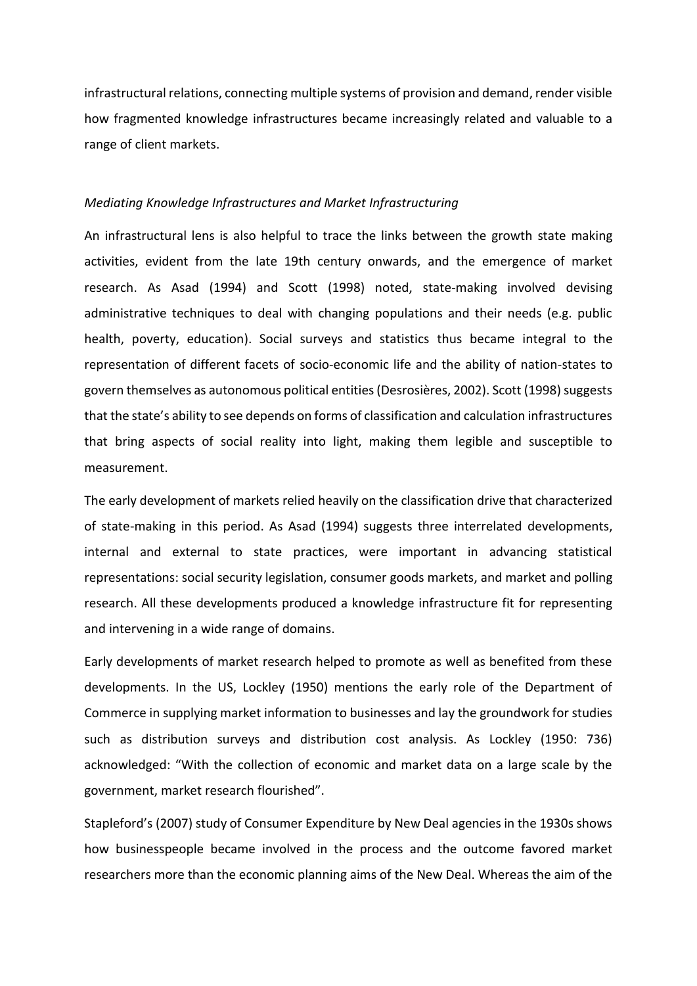infrastructural relations, connecting multiple systems of provision and demand, render visible how fragmented knowledge infrastructures became increasingly related and valuable to a range of client markets.

### *Mediating Knowledge Infrastructures and Market Infrastructuring*

An infrastructural lens is also helpful to trace the links between the growth state making activities, evident from the late 19th century onwards, and the emergence of market research. As Asad (1994) and Scott (1998) noted, state-making involved devising administrative techniques to deal with changing populations and their needs (e.g. public health, poverty, education). Social surveys and statistics thus became integral to the representation of different facets of socio-economic life and the ability of nation-states to govern themselves as autonomous political entities (Desrosières, 2002). Scott (1998) suggests that the state's ability to see depends on forms of classification and calculation infrastructures that bring aspects of social reality into light, making them legible and susceptible to measurement.

The early development of markets relied heavily on the classification drive that characterized of state-making in this period. As Asad (1994) suggests three interrelated developments, internal and external to state practices, were important in advancing statistical representations: social security legislation, consumer goods markets, and market and polling research. All these developments produced a knowledge infrastructure fit for representing and intervening in a wide range of domains.

Early developments of market research helped to promote as well as benefited from these developments. In the US, Lockley (1950) mentions the early role of the Department of Commerce in supplying market information to businesses and lay the groundwork for studies such as distribution surveys and distribution cost analysis. As Lockley (1950: 736) acknowledged: "With the collection of economic and market data on a large scale by the government, market research flourished".

Stapleford's (2007) study of Consumer Expenditure by New Deal agencies in the 1930s shows how businesspeople became involved in the process and the outcome favored market researchers more than the economic planning aims of the New Deal. Whereas the aim of the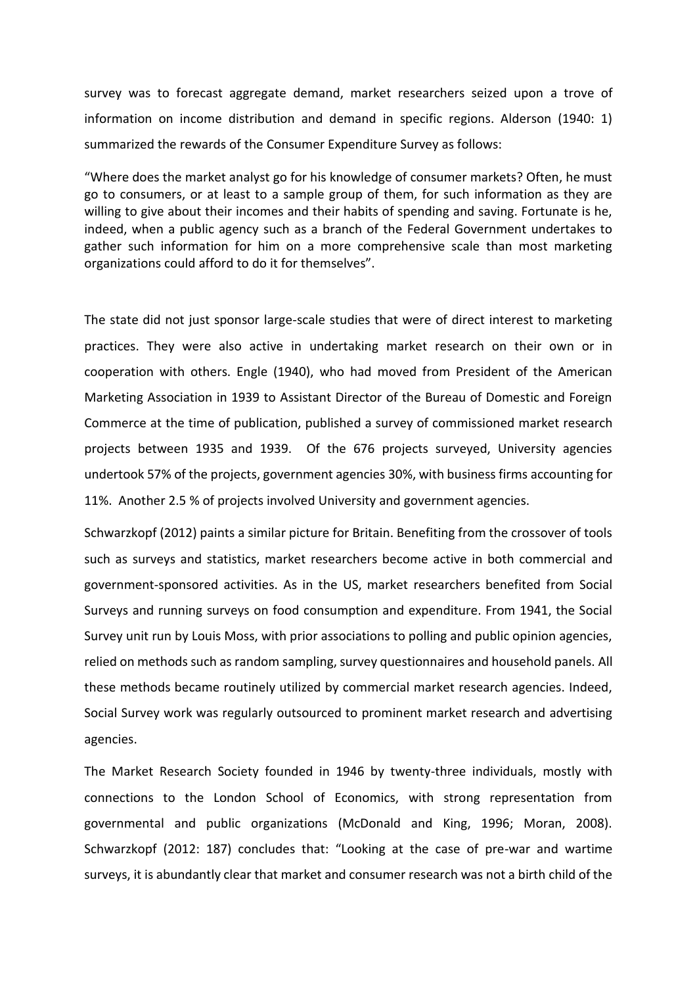survey was to forecast aggregate demand, market researchers seized upon a trove of information on income distribution and demand in specific regions. Alderson (1940: 1) summarized the rewards of the Consumer Expenditure Survey as follows:

"Where does the market analyst go for his knowledge of consumer markets? Often, he must go to consumers, or at least to a sample group of them, for such information as they are willing to give about their incomes and their habits of spending and saving. Fortunate is he, indeed, when a public agency such as a branch of the Federal Government undertakes to gather such information for him on a more comprehensive scale than most marketing organizations could afford to do it for themselves".

The state did not just sponsor large-scale studies that were of direct interest to marketing practices. They were also active in undertaking market research on their own or in cooperation with others. Engle (1940), who had moved from President of the American Marketing Association in 1939 to Assistant Director of the Bureau of Domestic and Foreign Commerce at the time of publication, published a survey of commissioned market research projects between 1935 and 1939. Of the 676 projects surveyed, University agencies undertook 57% of the projects, government agencies 30%, with business firms accounting for 11%. Another 2.5 % of projects involved University and government agencies.

Schwarzkopf (2012) paints a similar picture for Britain. Benefiting from the crossover of tools such as surveys and statistics, market researchers become active in both commercial and government-sponsored activities. As in the US, market researchers benefited from Social Surveys and running surveys on food consumption and expenditure. From 1941, the Social Survey unit run by Louis Moss, with prior associations to polling and public opinion agencies, relied on methods such as random sampling, survey questionnaires and household panels. All these methods became routinely utilized by commercial market research agencies. Indeed, Social Survey work was regularly outsourced to prominent market research and advertising agencies.

The Market Research Society founded in 1946 by twenty-three individuals, mostly with connections to the London School of Economics, with strong representation from governmental and public organizations (McDonald and King, 1996; Moran, 2008). Schwarzkopf (2012: 187) concludes that: "Looking at the case of pre-war and wartime surveys, it is abundantly clear that market and consumer research was not a birth child of the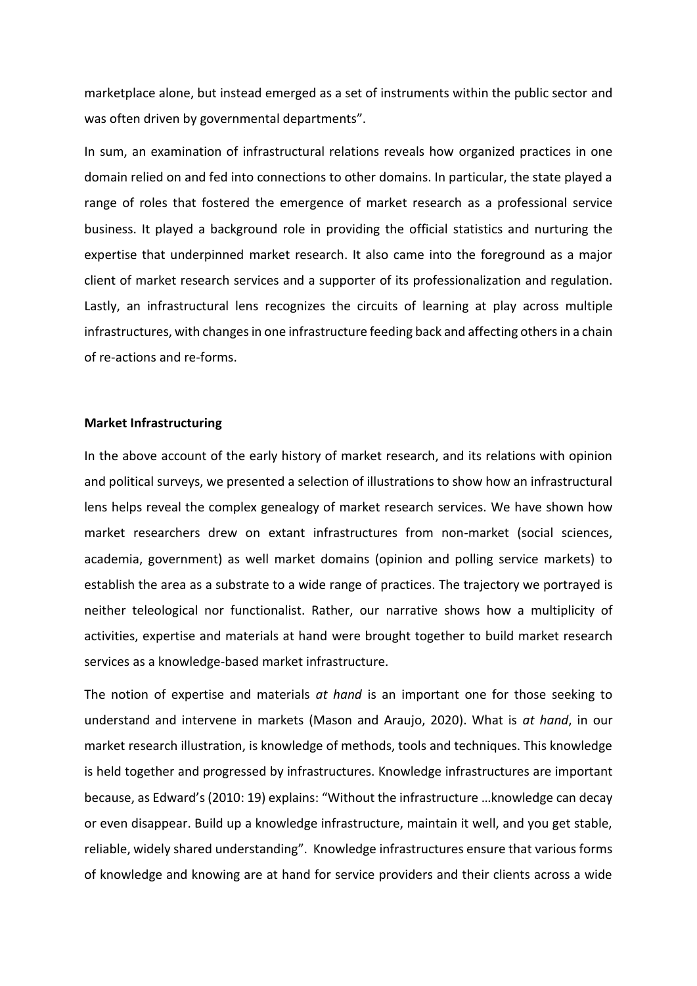marketplace alone, but instead emerged as a set of instruments within the public sector and was often driven by governmental departments".

In sum, an examination of infrastructural relations reveals how organized practices in one domain relied on and fed into connections to other domains. In particular, the state played a range of roles that fostered the emergence of market research as a professional service business. It played a background role in providing the official statistics and nurturing the expertise that underpinned market research. It also came into the foreground as a major client of market research services and a supporter of its professionalization and regulation. Lastly, an infrastructural lens recognizes the circuits of learning at play across multiple infrastructures, with changes in one infrastructure feeding back and affecting others in a chain of re-actions and re-forms.

### **Market Infrastructuring**

In the above account of the early history of market research, and its relations with opinion and political surveys, we presented a selection of illustrations to show how an infrastructural lens helps reveal the complex genealogy of market research services. We have shown how market researchers drew on extant infrastructures from non-market (social sciences, academia, government) as well market domains (opinion and polling service markets) to establish the area as a substrate to a wide range of practices. The trajectory we portrayed is neither teleological nor functionalist. Rather, our narrative shows how a multiplicity of activities, expertise and materials at hand were brought together to build market research services as a knowledge-based market infrastructure.

The notion of expertise and materials *at hand* is an important one for those seeking to understand and intervene in markets (Mason and Araujo, 2020). What is *at hand*, in our market research illustration, is knowledge of methods, tools and techniques. This knowledge is held together and progressed by infrastructures. Knowledge infrastructures are important because, as Edward's (2010: 19) explains: "Without the infrastructure …knowledge can decay or even disappear. Build up a knowledge infrastructure, maintain it well, and you get stable, reliable, widely shared understanding". Knowledge infrastructures ensure that various forms of knowledge and knowing are at hand for service providers and their clients across a wide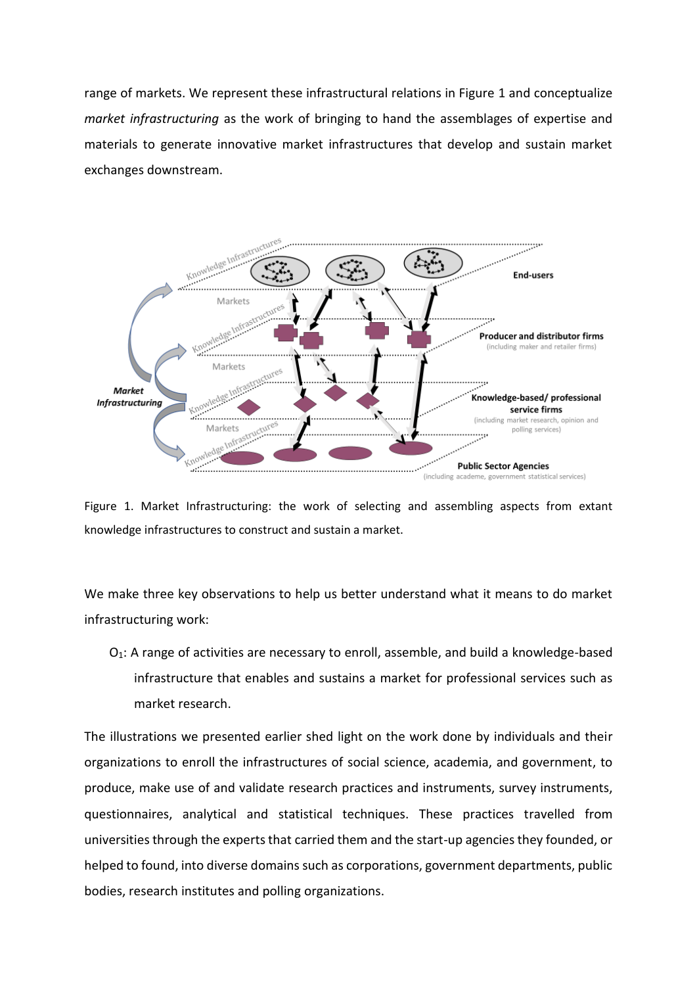range of markets. We represent these infrastructural relations in Figure 1 and conceptualize *market infrastructuring* as the work of bringing to hand the assemblages of expertise and materials to generate innovative market infrastructures that develop and sustain market exchanges downstream.



Figure 1. Market Infrastructuring: the work of selecting and assembling aspects from extant knowledge infrastructures to construct and sustain a market.

We make three key observations to help us better understand what it means to do market infrastructuring work:

 $O<sub>1</sub>$ : A range of activities are necessary to enroll, assemble, and build a knowledge-based infrastructure that enables and sustains a market for professional services such as market research.

The illustrations we presented earlier shed light on the work done by individuals and their organizations to enroll the infrastructures of social science, academia, and government, to produce, make use of and validate research practices and instruments, survey instruments, questionnaires, analytical and statistical techniques. These practices travelled from universities through the experts that carried them and the start-up agencies they founded, or helped to found, into diverse domains such as corporations, government departments, public bodies, research institutes and polling organizations.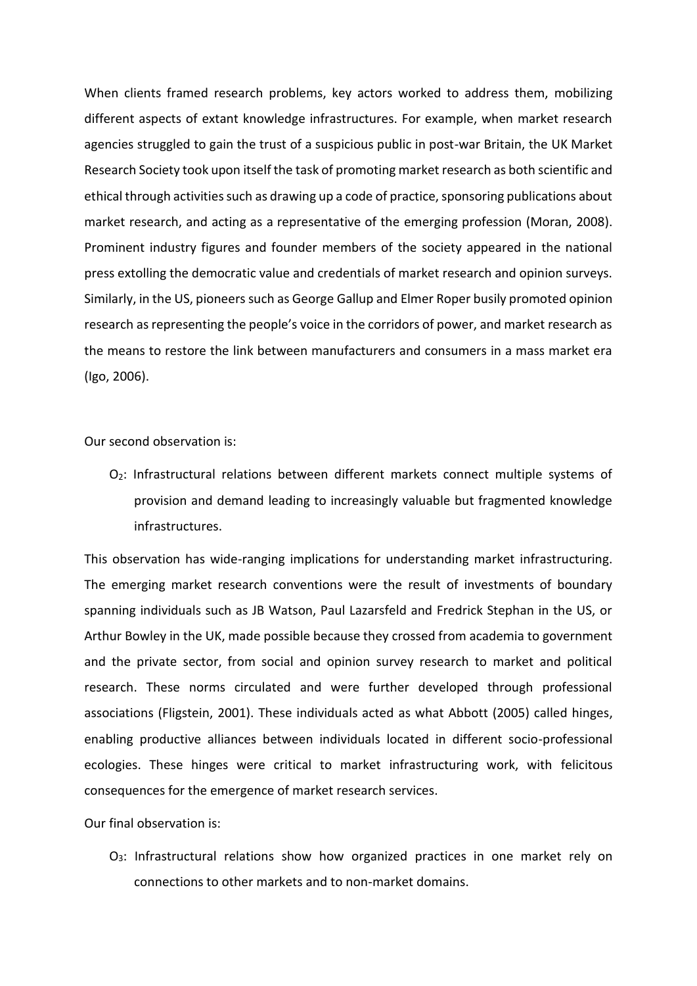When clients framed research problems, key actors worked to address them, mobilizing different aspects of extant knowledge infrastructures. For example, when market research agencies struggled to gain the trust of a suspicious public in post-war Britain, the UK Market Research Society took upon itself the task of promoting market research as both scientific and ethical through activities such as drawing up a code of practice, sponsoring publications about market research, and acting as a representative of the emerging profession (Moran, 2008). Prominent industry figures and founder members of the society appeared in the national press extolling the democratic value and credentials of market research and opinion surveys. Similarly, in the US, pioneers such as George Gallup and Elmer Roper busily promoted opinion research as representing the people's voice in the corridors of power, and market research as the means to restore the link between manufacturers and consumers in a mass market era (Igo, 2006).

Our second observation is:

O<sub>2</sub>: Infrastructural relations between different markets connect multiple systems of provision and demand leading to increasingly valuable but fragmented knowledge infrastructures.

This observation has wide-ranging implications for understanding market infrastructuring. The emerging market research conventions were the result of investments of boundary spanning individuals such as JB Watson, Paul Lazarsfeld and Fredrick Stephan in the US, or Arthur Bowley in the UK, made possible because they crossed from academia to government and the private sector, from social and opinion survey research to market and political research. These norms circulated and were further developed through professional associations (Fligstein, 2001). These individuals acted as what Abbott (2005) called hinges, enabling productive alliances between individuals located in different socio-professional ecologies. These hinges were critical to market infrastructuring work, with felicitous consequences for the emergence of market research services.

Our final observation is:

O<sub>3</sub>: Infrastructural relations show how organized practices in one market rely on connections to other markets and to non-market domains.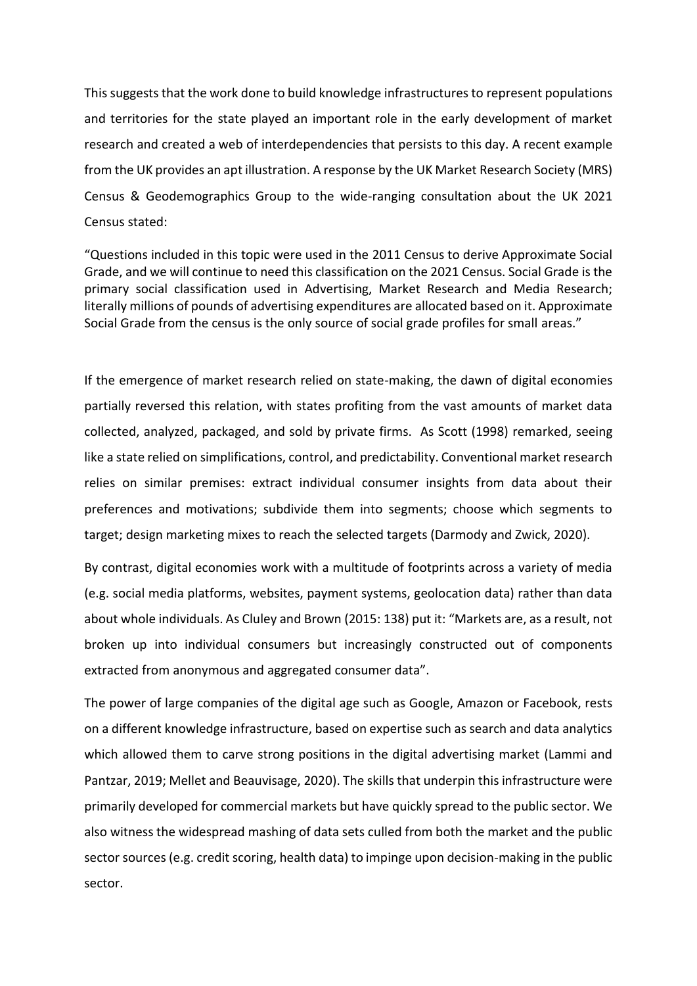This suggests that the work done to build knowledge infrastructures to represent populations and territories for the state played an important role in the early development of market research and created a web of interdependencies that persists to this day. A recent example from the UK provides an apt illustration. A response by the UK Market Research Society (MRS) Census & Geodemographics Group to the wide-ranging consultation about the UK 2021 Census stated:

"Questions included in this topic were used in the 2011 Census to derive Approximate Social Grade, and we will continue to need this classification on the 2021 Census. Social Grade is the primary social classification used in Advertising, Market Research and Media Research; literally millions of pounds of advertising expenditures are allocated based on it. Approximate Social Grade from the census is the only source of social grade profiles for small areas."

If the emergence of market research relied on state-making, the dawn of digital economies partially reversed this relation, with states profiting from the vast amounts of market data collected, analyzed, packaged, and sold by private firms. As Scott (1998) remarked, seeing like a state relied on simplifications, control, and predictability. Conventional market research relies on similar premises: extract individual consumer insights from data about their preferences and motivations; subdivide them into segments; choose which segments to target; design marketing mixes to reach the selected targets (Darmody and Zwick, 2020).

By contrast, digital economies work with a multitude of footprints across a variety of media (e.g. social media platforms, websites, payment systems, geolocation data) rather than data about whole individuals. As Cluley and Brown (2015: 138) put it: "Markets are, as a result, not broken up into individual consumers but increasingly constructed out of components extracted from anonymous and aggregated consumer data".

The power of large companies of the digital age such as Google, Amazon or Facebook, rests on a different knowledge infrastructure, based on expertise such as search and data analytics which allowed them to carve strong positions in the digital advertising market (Lammi and Pantzar, 2019; Mellet and Beauvisage, 2020). The skills that underpin this infrastructure were primarily developed for commercial markets but have quickly spread to the public sector. We also witness the widespread mashing of data sets culled from both the market and the public sector sources (e.g. credit scoring, health data) to impinge upon decision-making in the public sector.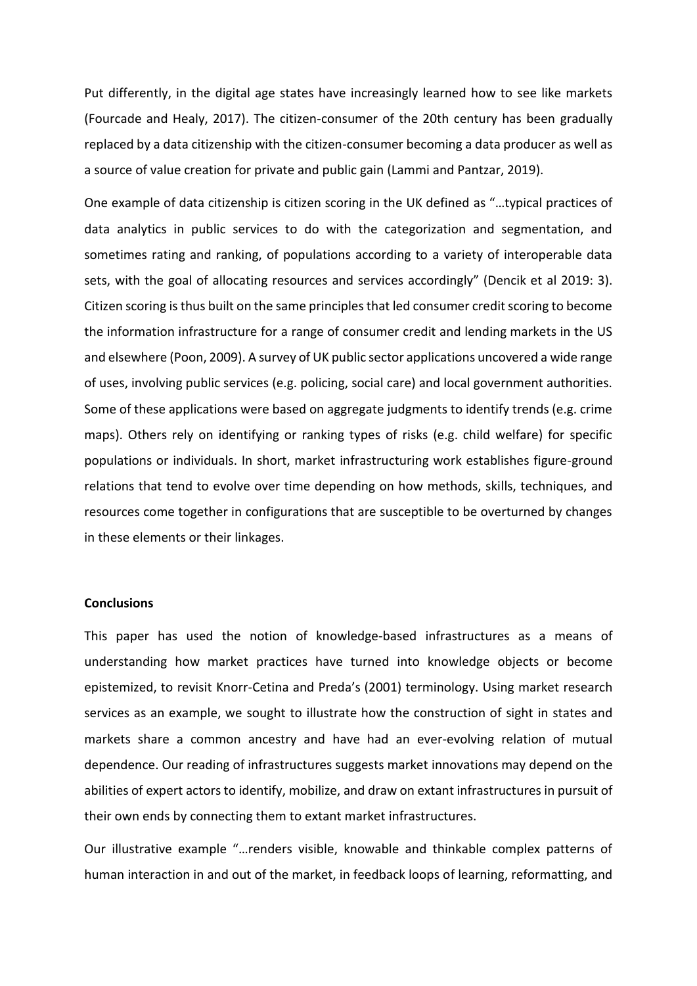Put differently, in the digital age states have increasingly learned how to see like markets (Fourcade and Healy, 2017). The citizen-consumer of the 20th century has been gradually replaced by a data citizenship with the citizen-consumer becoming a data producer as well as a source of value creation for private and public gain (Lammi and Pantzar, 2019).

One example of data citizenship is citizen scoring in the UK defined as "…typical practices of data analytics in public services to do with the categorization and segmentation, and sometimes rating and ranking, of populations according to a variety of interoperable data sets, with the goal of allocating resources and services accordingly" (Dencik et al 2019: 3). Citizen scoring is thus built on the same principles that led consumer credit scoring to become the information infrastructure for a range of consumer credit and lending markets in the US and elsewhere (Poon, 2009). A survey of UK public sector applications uncovered a wide range of uses, involving public services (e.g. policing, social care) and local government authorities. Some of these applications were based on aggregate judgments to identify trends (e.g. crime maps). Others rely on identifying or ranking types of risks (e.g. child welfare) for specific populations or individuals. In short, market infrastructuring work establishes figure-ground relations that tend to evolve over time depending on how methods, skills, techniques, and resources come together in configurations that are susceptible to be overturned by changes in these elements or their linkages.

# **Conclusions**

This paper has used the notion of knowledge-based infrastructures as a means of understanding how market practices have turned into knowledge objects or become epistemized, to revisit Knorr-Cetina and Preda's (2001) terminology. Using market research services as an example, we sought to illustrate how the construction of sight in states and markets share a common ancestry and have had an ever-evolving relation of mutual dependence. Our reading of infrastructures suggests market innovations may depend on the abilities of expert actors to identify, mobilize, and draw on extant infrastructures in pursuit of their own ends by connecting them to extant market infrastructures.

Our illustrative example "…renders visible, knowable and thinkable complex patterns of human interaction in and out of the market, in feedback loops of learning, reformatting, and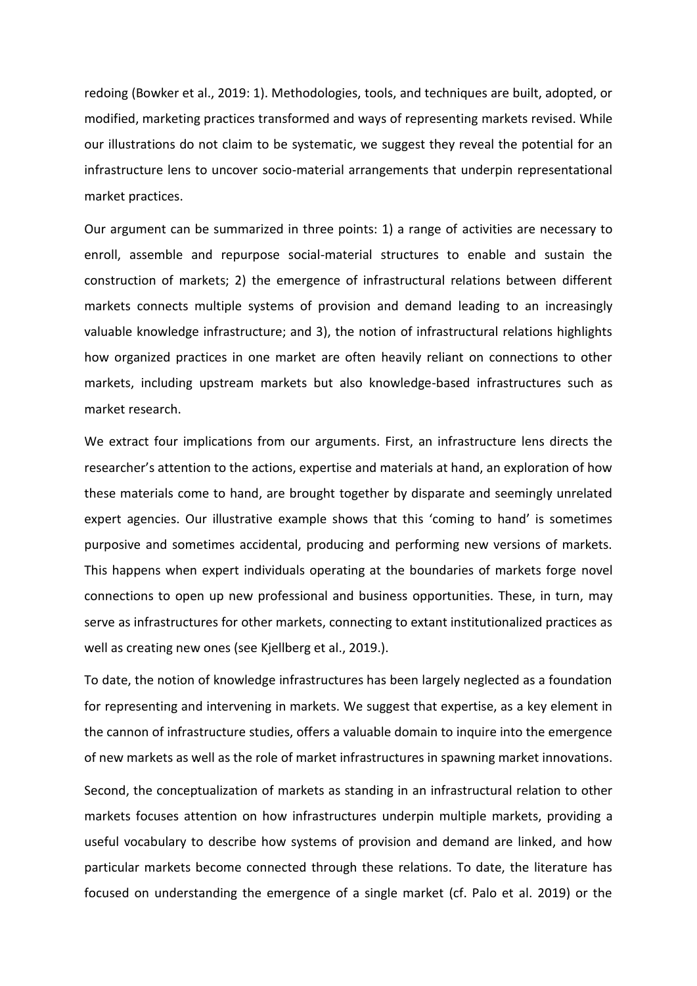redoing (Bowker et al., 2019: 1). Methodologies, tools, and techniques are built, adopted, or modified, marketing practices transformed and ways of representing markets revised. While our illustrations do not claim to be systematic, we suggest they reveal the potential for an infrastructure lens to uncover socio-material arrangements that underpin representational market practices.

Our argument can be summarized in three points: 1) a range of activities are necessary to enroll, assemble and repurpose social-material structures to enable and sustain the construction of markets; 2) the emergence of infrastructural relations between different markets connects multiple systems of provision and demand leading to an increasingly valuable knowledge infrastructure; and 3), the notion of infrastructural relations highlights how organized practices in one market are often heavily reliant on connections to other markets, including upstream markets but also knowledge-based infrastructures such as market research.

We extract four implications from our arguments. First, an infrastructure lens directs the researcher's attention to the actions, expertise and materials at hand, an exploration of how these materials come to hand, are brought together by disparate and seemingly unrelated expert agencies. Our illustrative example shows that this 'coming to hand' is sometimes purposive and sometimes accidental, producing and performing new versions of markets. This happens when expert individuals operating at the boundaries of markets forge novel connections to open up new professional and business opportunities. These, in turn, may serve as infrastructures for other markets, connecting to extant institutionalized practices as well as creating new ones (see Kjellberg et al., 2019.).

To date, the notion of knowledge infrastructures has been largely neglected as a foundation for representing and intervening in markets. We suggest that expertise, as a key element in the cannon of infrastructure studies, offers a valuable domain to inquire into the emergence of new markets as well as the role of market infrastructures in spawning market innovations.

Second, the conceptualization of markets as standing in an infrastructural relation to other markets focuses attention on how infrastructures underpin multiple markets, providing a useful vocabulary to describe how systems of provision and demand are linked, and how particular markets become connected through these relations. To date, the literature has focused on understanding the emergence of a single market (cf. Palo et al. 2019) or the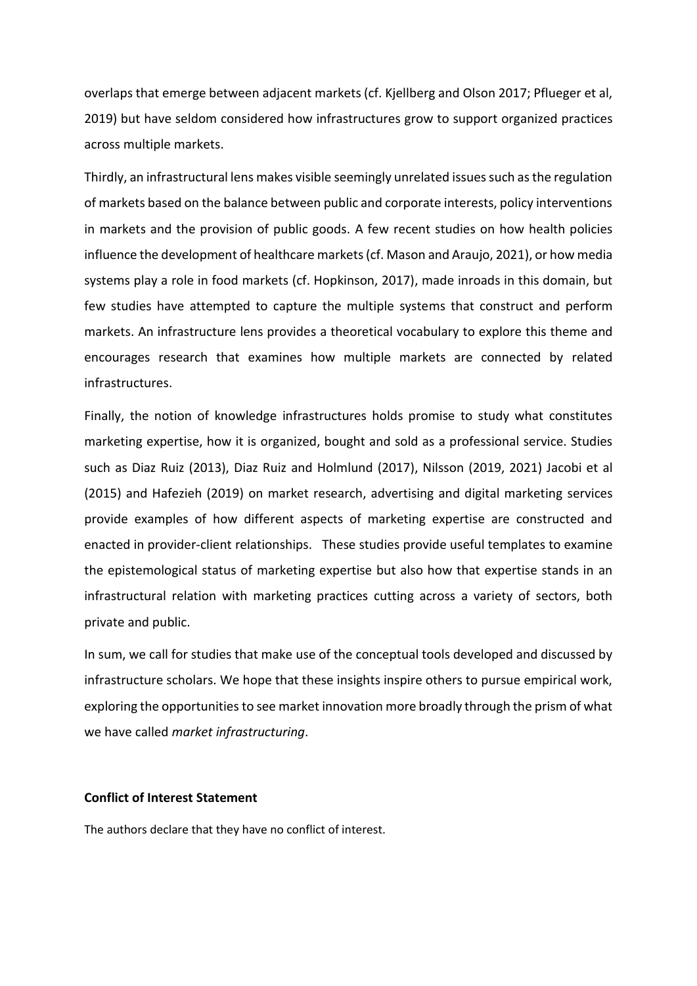overlaps that emerge between adjacent markets (cf. Kjellberg and Olson 2017; Pflueger et al, 2019) but have seldom considered how infrastructures grow to support organized practices across multiple markets.

Thirdly, an infrastructural lens makes visible seemingly unrelated issues such as the regulation of markets based on the balance between public and corporate interests, policy interventions in markets and the provision of public goods. A few recent studies on how health policies influence the development of healthcare markets (cf. Mason and Araujo, 2021), or how media systems play a role in food markets (cf. Hopkinson, 2017), made inroads in this domain, but few studies have attempted to capture the multiple systems that construct and perform markets. An infrastructure lens provides a theoretical vocabulary to explore this theme and encourages research that examines how multiple markets are connected by related infrastructures.

Finally, the notion of knowledge infrastructures holds promise to study what constitutes marketing expertise, how it is organized, bought and sold as a professional service. Studies such as Diaz Ruiz (2013), Diaz Ruiz and Holmlund (2017), Nilsson (2019, 2021) Jacobi et al (2015) and Hafezieh (2019) on market research, advertising and digital marketing services provide examples of how different aspects of marketing expertise are constructed and enacted in provider-client relationships. These studies provide useful templates to examine the epistemological status of marketing expertise but also how that expertise stands in an infrastructural relation with marketing practices cutting across a variety of sectors, both private and public.

In sum, we call for studies that make use of the conceptual tools developed and discussed by infrastructure scholars. We hope that these insights inspire others to pursue empirical work, exploring the opportunities to see market innovation more broadly through the prism of what we have called *market infrastructuring*.

# **Conflict of Interest Statement**

The authors declare that they have no conflict of interest.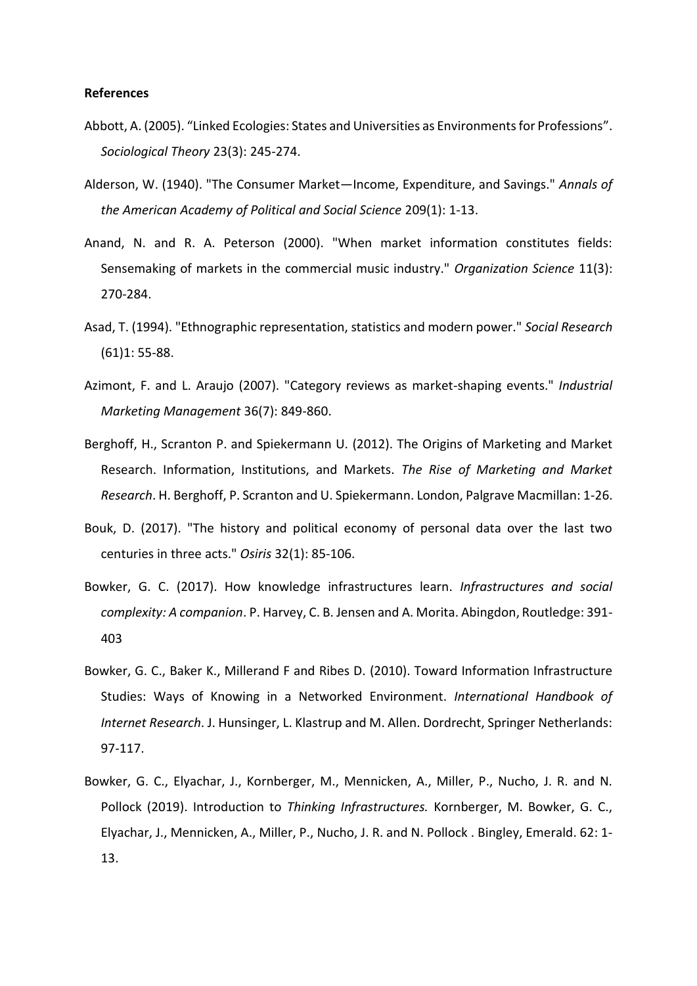### **References**

- Abbott, A. (2005). "Linked Ecologies: States and Universities as Environments for Professions". *Sociological Theory* 23(3): 245-274.
- Alderson, W. (1940). "The Consumer Market—Income, Expenditure, and Savings." *Annals of the American Academy of Political and Social Science* 209(1): 1-13.
- Anand, N. and R. A. Peterson (2000). "When market information constitutes fields: Sensemaking of markets in the commercial music industry." *Organization Science* 11(3): 270-284.
- Asad, T. (1994). "Ethnographic representation, statistics and modern power." *Social Research* (61)1: 55-88.
- Azimont, F. and L. Araujo (2007). "Category reviews as market-shaping events." *Industrial Marketing Management* 36(7): 849-860.
- Berghoff, H., Scranton P. and Spiekermann U. (2012). The Origins of Marketing and Market Research. Information, Institutions, and Markets. *The Rise of Marketing and Market Research*. H. Berghoff, P. Scranton and U. Spiekermann. London, Palgrave Macmillan: 1-26.
- Bouk, D. (2017). "The history and political economy of personal data over the last two centuries in three acts." *Osiris* 32(1): 85-106.
- Bowker, G. C. (2017). How knowledge infrastructures learn. *Infrastructures and social complexity: A companion*. P. Harvey, C. B. Jensen and A. Morita. Abingdon, Routledge: 391- 403
- Bowker, G. C., Baker K., Millerand F and Ribes D. (2010). Toward Information Infrastructure Studies: Ways of Knowing in a Networked Environment. *International Handbook of Internet Research*. J. Hunsinger, L. Klastrup and M. Allen. Dordrecht, Springer Netherlands: 97-117.
- Bowker, G. C., Elyachar, J., Kornberger, M., Mennicken, A., Miller, P., Nucho, J. R. and N. Pollock (2019). Introduction to *Thinking Infrastructures.* Kornberger, M. Bowker, G. C., Elyachar, J., Mennicken, A., Miller, P., Nucho, J. R. and N. Pollock . Bingley, Emerald. 62: 1- 13.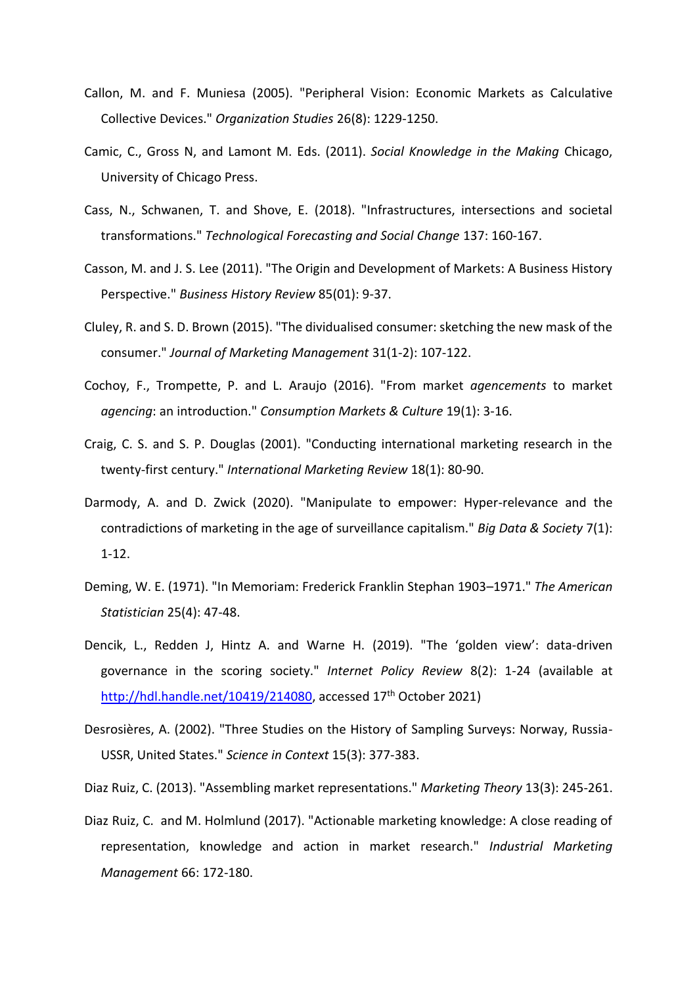- Callon, M. and F. Muniesa (2005). "Peripheral Vision: Economic Markets as Calculative Collective Devices." *Organization Studies* 26(8): 1229-1250.
- Camic, C., Gross N, and Lamont M. Eds. (2011). *Social Knowledge in the Making* Chicago, University of Chicago Press.
- Cass, N., Schwanen, T. and Shove, E. (2018). "Infrastructures, intersections and societal transformations." *Technological Forecasting and Social Change* 137: 160-167.
- Casson, M. and J. S. Lee (2011). "The Origin and Development of Markets: A Business History Perspective." *Business History Review* 85(01): 9-37.
- Cluley, R. and S. D. Brown (2015). "The dividualised consumer: sketching the new mask of the consumer." *Journal of Marketing Management* 31(1-2): 107-122.
- Cochoy, F., Trompette, P. and L. Araujo (2016). "From market *agencements* to market *agencing*: an introduction." *Consumption Markets & Culture* 19(1): 3-16.
- Craig, C. S. and S. P. Douglas (2001). "Conducting international marketing research in the twenty‐first century." *International Marketing Review* 18(1): 80-90.
- Darmody, A. and D. Zwick (2020). "Manipulate to empower: Hyper-relevance and the contradictions of marketing in the age of surveillance capitalism." *Big Data & Society* 7(1): 1-12.
- Deming, W. E. (1971). "In Memoriam: Frederick Franklin Stephan 1903–1971." *The American Statistician* 25(4): 47-48.
- Dencik, L., Redden J, Hintz A. and Warne H. (2019). "The 'golden view': data-driven governance in the scoring society." *Internet Policy Review* 8(2): 1-24 (available at [http://hdl.handle.net/10419/214080,](http://hdl.handle.net/10419/214080) accessed 17<sup>th</sup> October 2021)
- Desrosières, A. (2002). "Three Studies on the History of Sampling Surveys: Norway, Russia-USSR, United States." *Science in Context* 15(3): 377-383.
- Diaz Ruiz, C. (2013). "Assembling market representations." *Marketing Theory* 13(3): 245-261.
- Diaz Ruiz, C. and M. Holmlund (2017). "Actionable marketing knowledge: A close reading of representation, knowledge and action in market research." *Industrial Marketing Management* 66: 172-180.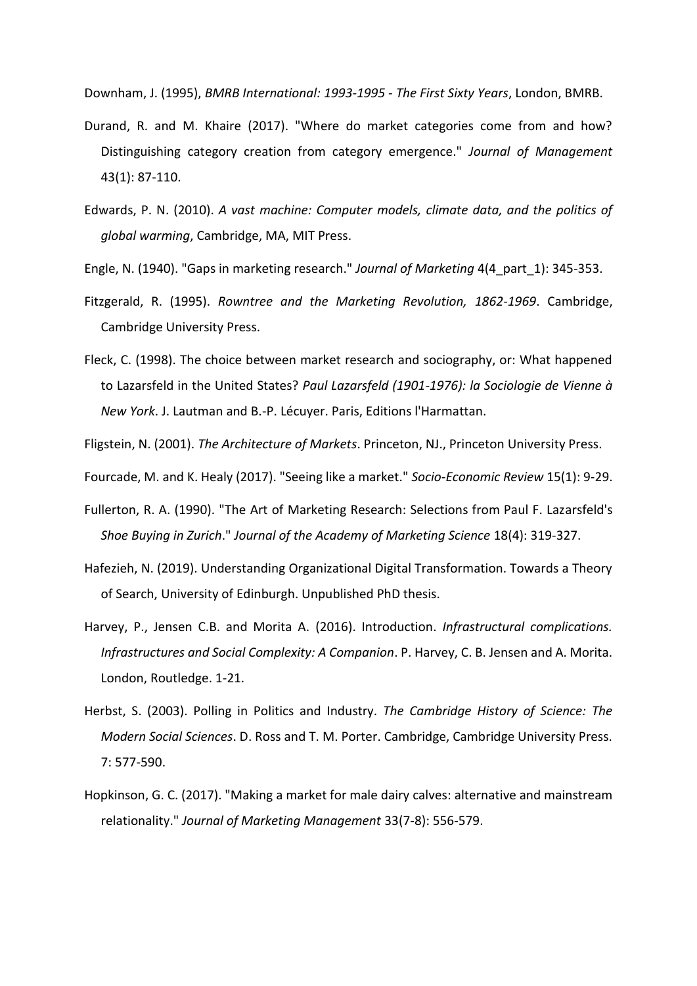Downham, J. (1995), *BMRB International: 1993-1995 - The First Sixty Years*, London, BMRB.

- Durand, R. and M. Khaire (2017). "Where do market categories come from and how? Distinguishing category creation from category emergence." *Journal of Management* 43(1): 87-110.
- Edwards, P. N. (2010). *A vast machine: Computer models, climate data, and the politics of global warming*, Cambridge, MA, MIT Press.
- Engle, N. (1940). "Gaps in marketing research." *Journal of Marketing* 4(4\_part\_1): 345-353.
- Fitzgerald, R. (1995). *Rowntree and the Marketing Revolution, 1862-1969*. Cambridge, Cambridge University Press.
- Fleck, C. (1998). The choice between market research and sociography, or: What happened to Lazarsfeld in the United States? *Paul Lazarsfeld (1901-1976): la Sociologie de Vienne à New York*. J. Lautman and B.-P. Lécuyer. Paris, Editions l'Harmattan.
- Fligstein, N. (2001). *The Architecture of Markets*. Princeton, NJ., Princeton University Press.

Fourcade, M. and K. Healy (2017). "Seeing like a market." *Socio-Economic Review* 15(1): 9-29.

- Fullerton, R. A. (1990). "The Art of Marketing Research: Selections from Paul F. Lazarsfeld's *Shoe Buying in Zurich*." *Journal of the Academy of Marketing Science* 18(4): 319-327.
- Hafezieh, N. (2019). Understanding Organizational Digital Transformation. Towards a Theory of Search, University of Edinburgh. Unpublished PhD thesis.
- Harvey, P., Jensen C.B. and Morita A. (2016). Introduction. *Infrastructural complications. Infrastructures and Social Complexity: A Companion*. P. Harvey, C. B. Jensen and A. Morita. London, Routledge. 1-21.
- Herbst, S. (2003). Polling in Politics and Industry. *The Cambridge History of Science: The Modern Social Sciences*. D. Ross and T. M. Porter. Cambridge, Cambridge University Press. 7: 577-590.
- Hopkinson, G. C. (2017). "Making a market for male dairy calves: alternative and mainstream relationality." *Journal of Marketing Management* 33(7-8): 556-579.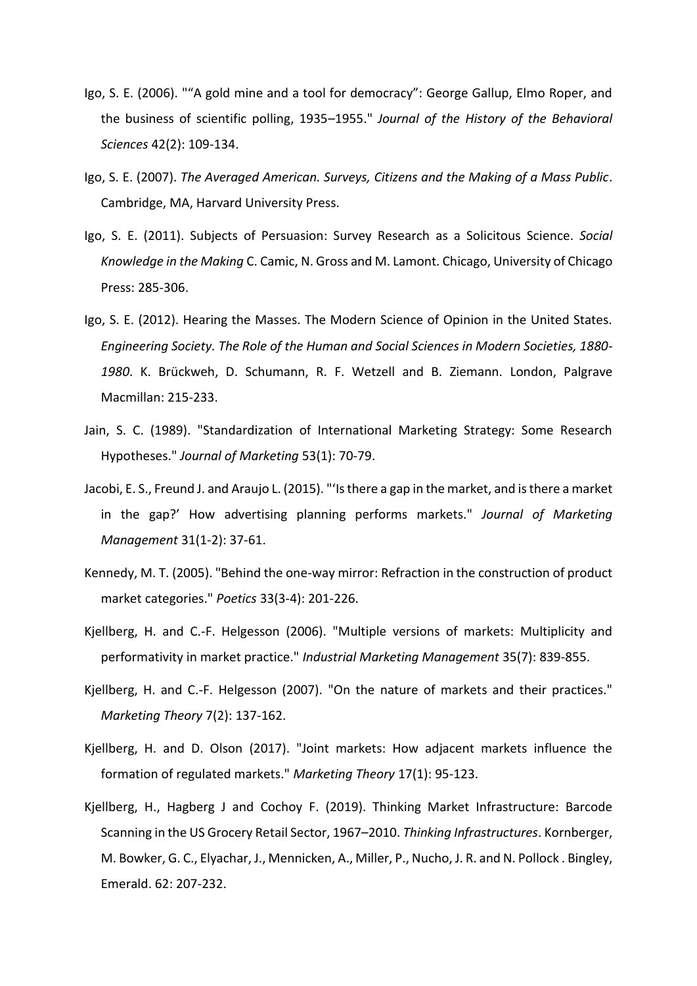- Igo, S. E. (2006). ""A gold mine and a tool for democracy": George Gallup, Elmo Roper, and the business of scientific polling, 1935–1955." *Journal of the History of the Behavioral Sciences* 42(2): 109-134.
- Igo, S. E. (2007). *The Averaged American. Surveys, Citizens and the Making of a Mass Public*. Cambridge, MA, Harvard University Press.
- Igo, S. E. (2011). Subjects of Persuasion: Survey Research as a Solicitous Science. *Social Knowledge in the Making* C. Camic, N. Gross and M. Lamont. Chicago, University of Chicago Press: 285-306.
- Igo, S. E. (2012). Hearing the Masses. The Modern Science of Opinion in the United States. *Engineering Society. The Role of the Human and Social Sciences in Modern Societies, 1880- 1980*. K. Brückweh, D. Schumann, R. F. Wetzell and B. Ziemann. London, Palgrave Macmillan: 215-233.
- Jain, S. C. (1989). "Standardization of International Marketing Strategy: Some Research Hypotheses." *Journal of Marketing* 53(1): 70-79.
- Jacobi, E. S., Freund J. and Araujo L. (2015). "'Is there a gap in the market, and is there a market in the gap?' How advertising planning performs markets." *Journal of Marketing Management* 31(1-2): 37-61.
- Kennedy, M. T. (2005). "Behind the one-way mirror: Refraction in the construction of product market categories." *Poetics* 33(3-4): 201-226.
- Kjellberg, H. and C.-F. Helgesson (2006). "Multiple versions of markets: Multiplicity and performativity in market practice." *Industrial Marketing Management* 35(7): 839-855.
- Kjellberg, H. and C.-F. Helgesson (2007). "On the nature of markets and their practices." *Marketing Theory* 7(2): 137-162.
- Kjellberg, H. and D. Olson (2017). "Joint markets: How adjacent markets influence the formation of regulated markets." *Marketing Theory* 17(1): 95-123.
- Kjellberg, H., Hagberg J and Cochoy F. (2019). Thinking Market Infrastructure: Barcode Scanning in the US Grocery Retail Sector, 1967–2010. *Thinking Infrastructures*. Kornberger, M. Bowker, G. C., Elyachar, J., Mennicken, A., Miller, P., Nucho, J. R. and N. Pollock . Bingley, Emerald. 62: 207-232.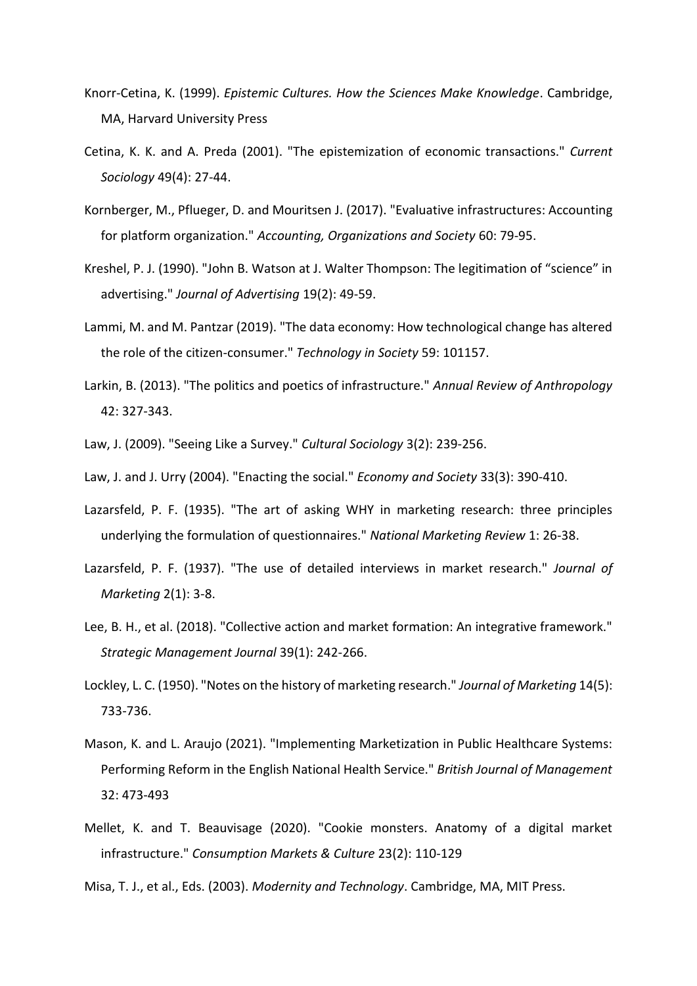- Knorr-Cetina, K. (1999). *Epistemic Cultures. How the Sciences Make Knowledge*. Cambridge, MA, Harvard University Press
- Cetina, K. K. and A. Preda (2001). "The epistemization of economic transactions." *Current Sociology* 49(4): 27-44.
- Kornberger, M., Pflueger, D. and Mouritsen J. (2017). "Evaluative infrastructures: Accounting for platform organization." *Accounting, Organizations and Society* 60: 79-95.
- Kreshel, P. J. (1990). "John B. Watson at J. Walter Thompson: The legitimation of "science" in advertising." *Journal of Advertising* 19(2): 49-59.
- Lammi, M. and M. Pantzar (2019). "The data economy: How technological change has altered the role of the citizen-consumer." *Technology in Society* 59: 101157.
- Larkin, B. (2013). "The politics and poetics of infrastructure." *Annual Review of Anthropology* 42: 327-343.
- Law, J. (2009). "Seeing Like a Survey." *Cultural Sociology* 3(2): 239-256.
- Law, J. and J. Urry (2004). "Enacting the social." *Economy and Society* 33(3): 390-410.
- Lazarsfeld, P. F. (1935). "The art of asking WHY in marketing research: three principles underlying the formulation of questionnaires." *National Marketing Review* 1: 26-38.
- Lazarsfeld, P. F. (1937). "The use of detailed interviews in market research." *Journal of Marketing* 2(1): 3-8.
- Lee, B. H., et al. (2018). "Collective action and market formation: An integrative framework." *Strategic Management Journal* 39(1): 242-266.
- Lockley, L. C. (1950). "Notes on the history of marketing research." *Journal of Marketing* 14(5): 733-736.
- Mason, K. and L. Araujo (2021). "Implementing Marketization in Public Healthcare Systems: Performing Reform in the English National Health Service." *British Journal of Management* 32: 473-493
- Mellet, K. and T. Beauvisage (2020). "Cookie monsters. Anatomy of a digital market infrastructure." *Consumption Markets & Culture* 23(2): 110-129
- Misa, T. J., et al., Eds. (2003). *Modernity and Technology*. Cambridge, MA, MIT Press.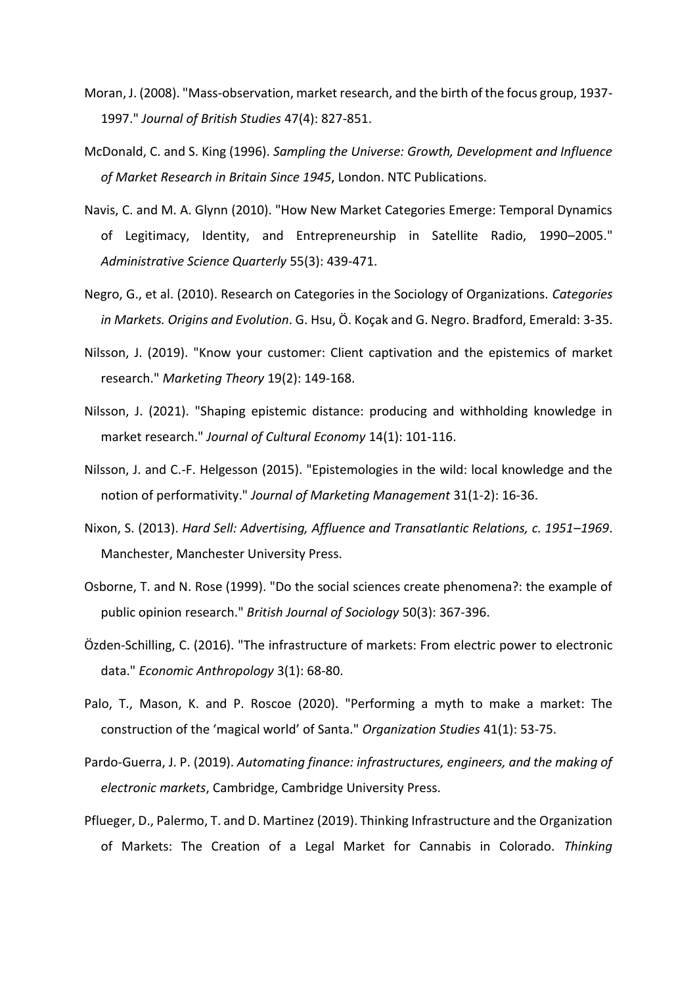- Moran, J. (2008). "Mass-observation, market research, and the birth of the focus group, 1937- 1997." *Journal of British Studies* 47(4): 827-851.
- McDonald, C. and S. King (1996). *Sampling the Universe: Growth, Development and Influence of Market Research in Britain Since 1945*, London. NTC Publications.
- Navis, C. and M. A. Glynn (2010). "How New Market Categories Emerge: Temporal Dynamics of Legitimacy, Identity, and Entrepreneurship in Satellite Radio, 1990–2005." *Administrative Science Quarterly* 55(3): 439-471.
- Negro, G., et al. (2010). Research on Categories in the Sociology of Organizations. *Categories in Markets. Origins and Evolution*. G. Hsu, Ö. Koçak and G. Negro. Bradford, Emerald: 3-35.
- Nilsson, J. (2019). "Know your customer: Client captivation and the epistemics of market research." *Marketing Theory* 19(2): 149-168.
- Nilsson, J. (2021). "Shaping epistemic distance: producing and withholding knowledge in market research." *Journal of Cultural Economy* 14(1): 101-116.
- Nilsson, J. and C.-F. Helgesson (2015). "Epistemologies in the wild: local knowledge and the notion of performativity." *Journal of Marketing Management* 31(1-2): 16-36.
- Nixon, S. (2013). *Hard Sell: Advertising, Affluence and Transatlantic Relations, c. 1951–1969*. Manchester, Manchester University Press.
- Osborne, T. and N. Rose (1999). "Do the social sciences create phenomena?: the example of public opinion research." *British Journal of Sociology* 50(3): 367-396.
- Özden‐Schilling, C. (2016). "The infrastructure of markets: From electric power to electronic data." *Economic Anthropology* 3(1): 68-80.
- Palo, T., Mason, K. and P. Roscoe (2020). "Performing a myth to make a market: The construction of the 'magical world' of Santa." *Organization Studies* 41(1): 53-75.
- Pardo-Guerra, J. P. (2019). *Automating finance: infrastructures, engineers, and the making of electronic markets*, Cambridge, Cambridge University Press.
- Pflueger, D., Palermo, T. and D. Martinez (2019). Thinking Infrastructure and the Organization of Markets: The Creation of a Legal Market for Cannabis in Colorado. *Thinking*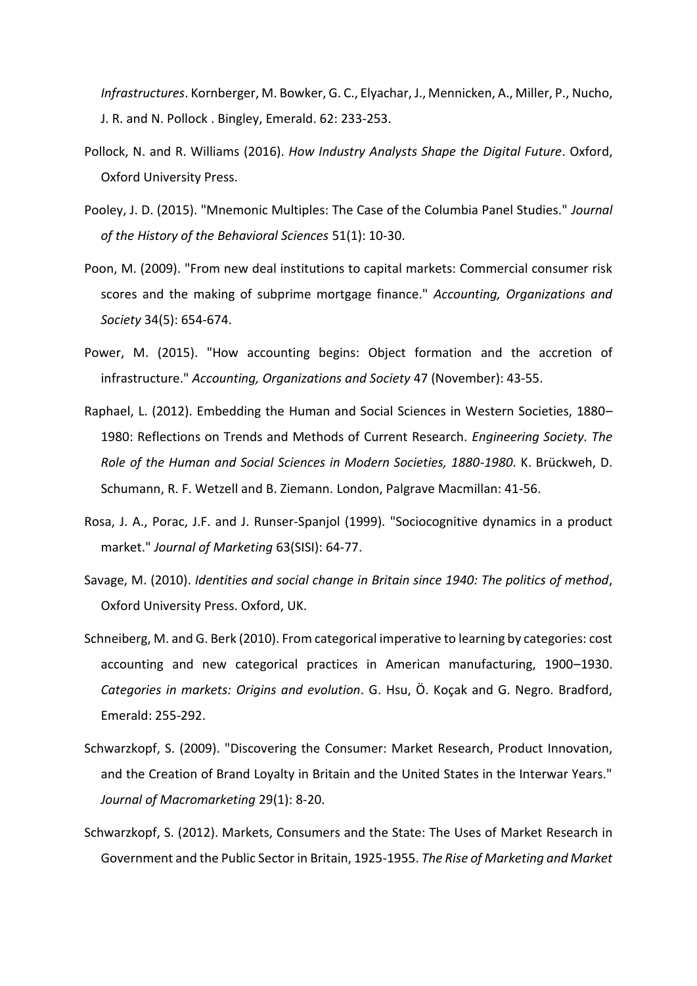*Infrastructures*. Kornberger, M. Bowker, G. C., Elyachar, J., Mennicken, A., Miller, P., Nucho, J. R. and N. Pollock . Bingley, Emerald. 62: 233-253.

- Pollock, N. and R. Williams (2016). *How Industry Analysts Shape the Digital Future*. Oxford, Oxford University Press.
- Pooley, J. D. (2015). "Mnemonic Multiples: The Case of the Columbia Panel Studies." *Journal of the History of the Behavioral Sciences* 51(1): 10-30.
- Poon, M. (2009). "From new deal institutions to capital markets: Commercial consumer risk scores and the making of subprime mortgage finance." *Accounting, Organizations and Society* 34(5): 654-674.
- Power, M. (2015). "How accounting begins: Object formation and the accretion of infrastructure." *Accounting, Organizations and Society* 47 (November): 43-55.
- Raphael, L. (2012). Embedding the Human and Social Sciences in Western Societies, 1880– 1980: Reflections on Trends and Methods of Current Research. *Engineering Society. The Role of the Human and Social Sciences in Modern Societies, 1880-1980*. K. Brückweh, D. Schumann, R. F. Wetzell and B. Ziemann. London, Palgrave Macmillan: 41-56.
- Rosa, J. A., Porac, J.F. and J. Runser-Spanjol (1999). "Sociocognitive dynamics in a product market." *Journal of Marketing* 63(SISI): 64-77.
- Savage, M. (2010). *Identities and social change in Britain since 1940: The politics of method*, Oxford University Press. Oxford, UK.
- Schneiberg, M. and G. Berk (2010). From categorical imperative to learning by categories: cost accounting and new categorical practices in American manufacturing, 1900–1930. *Categories in markets: Origins and evolution*. G. Hsu, Ö. Koçak and G. Negro. Bradford, Emerald: 255-292.
- Schwarzkopf, S. (2009). "Discovering the Consumer: Market Research, Product Innovation, and the Creation of Brand Loyalty in Britain and the United States in the Interwar Years." *Journal of Macromarketing* 29(1): 8-20.
- Schwarzkopf, S. (2012). Markets, Consumers and the State: The Uses of Market Research in Government and the Public Sector in Britain, 1925-1955. *The Rise of Marketing and Market*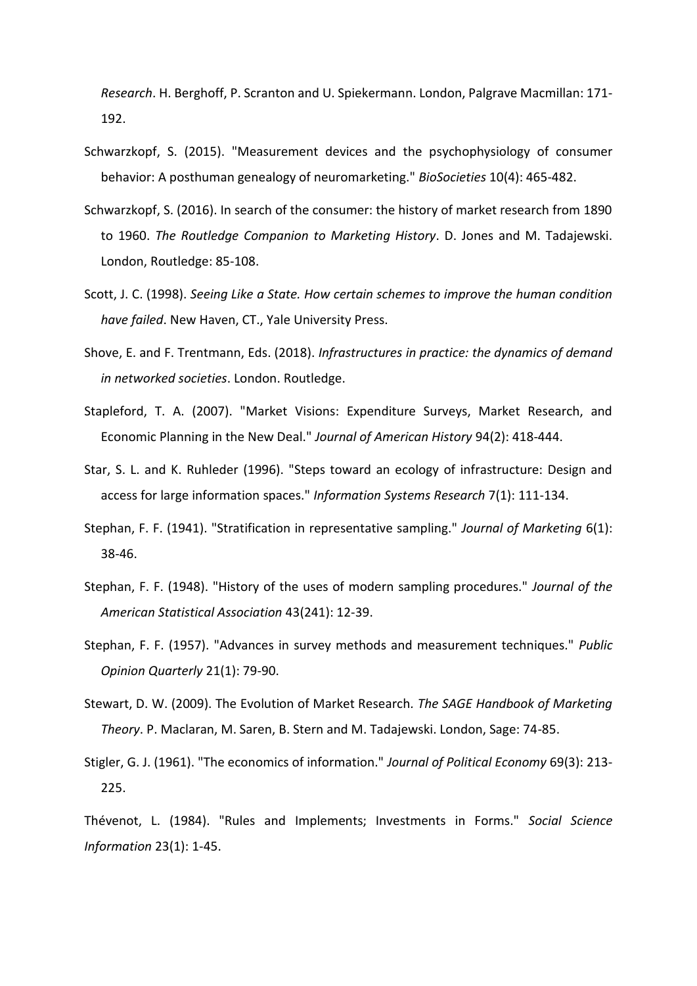*Research*. H. Berghoff, P. Scranton and U. Spiekermann. London, Palgrave Macmillan: 171- 192.

- Schwarzkopf, S. (2015). "Measurement devices and the psychophysiology of consumer behavior: A posthuman genealogy of neuromarketing." *BioSocieties* 10(4): 465-482.
- Schwarzkopf, S. (2016). In search of the consumer: the history of market research from 1890 to 1960. *The Routledge Companion to Marketing History*. D. Jones and M. Tadajewski. London, Routledge: 85-108.
- Scott, J. C. (1998). *Seeing Like a State. How certain schemes to improve the human condition have failed*. New Haven, CT., Yale University Press.
- Shove, E. and F. Trentmann, Eds. (2018). *Infrastructures in practice: the dynamics of demand in networked societies*. London. Routledge.
- Stapleford, T. A. (2007). "Market Visions: Expenditure Surveys, Market Research, and Economic Planning in the New Deal." *Journal of American History* 94(2): 418-444.
- Star, S. L. and K. Ruhleder (1996). "Steps toward an ecology of infrastructure: Design and access for large information spaces." *Information Systems Research* 7(1): 111-134.
- Stephan, F. F. (1941). "Stratification in representative sampling." *Journal of Marketing* 6(1): 38-46.
- Stephan, F. F. (1948). "History of the uses of modern sampling procedures." *Journal of the American Statistical Association* 43(241): 12-39.
- Stephan, F. F. (1957). "Advances in survey methods and measurement techniques." *Public Opinion Quarterly* 21(1): 79-90.
- Stewart, D. W. (2009). The Evolution of Market Research*. The SAGE Handbook of Marketing Theory*. P. Maclaran, M. Saren, B. Stern and M. Tadajewski. London, Sage: 74-85.
- Stigler, G. J. (1961). "The economics of information." *Journal of Political Economy* 69(3): 213- 225.

Thévenot, L. (1984). "Rules and Implements; Investments in Forms." *Social Science Information* 23(1): 1-45.